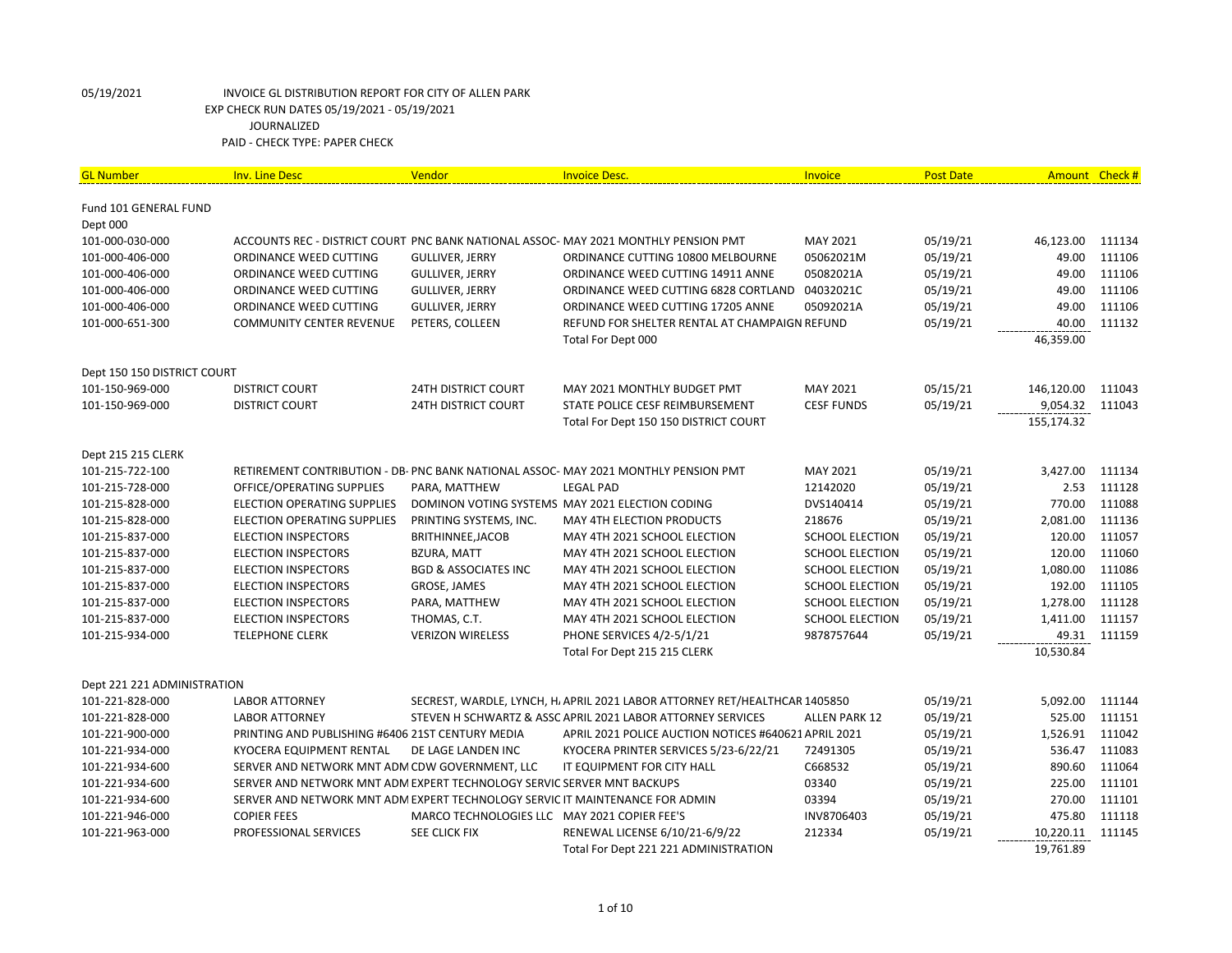| <b>GL Number</b>            | <b>Inv. Line Desc</b>                                                        | Vendor                                       | <b>Invoice Desc.</b>                                                                | Invoice                | <b>Post Date</b> |            | Amount Check # |
|-----------------------------|------------------------------------------------------------------------------|----------------------------------------------|-------------------------------------------------------------------------------------|------------------------|------------------|------------|----------------|
| Fund 101 GENERAL FUND       |                                                                              |                                              |                                                                                     |                        |                  |            |                |
| Dept 000                    |                                                                              |                                              |                                                                                     |                        |                  |            |                |
| 101-000-030-000             |                                                                              |                                              | ACCOUNTS REC - DISTRICT COURT PNC BANK NATIONAL ASSOC- MAY 2021 MONTHLY PENSION PMT | MAY 2021               | 05/19/21         | 46,123.00  | 111134         |
| 101-000-406-000             | ORDINANCE WEED CUTTING                                                       | <b>GULLIVER, JERRY</b>                       | ORDINANCE CUTTING 10800 MELBOURNE                                                   | 05062021M              | 05/19/21         | 49.00      | 111106         |
| 101-000-406-000             | ORDINANCE WEED CUTTING                                                       | <b>GULLIVER, JERRY</b>                       | ORDINANCE WEED CUTTING 14911 ANNE                                                   | 05082021A              | 05/19/21         | 49.00      | 111106         |
| 101-000-406-000             | ORDINANCE WEED CUTTING                                                       | <b>GULLIVER, JERRY</b>                       | ORDINANCE WEED CUTTING 6828 CORTLAND 04032021C                                      |                        | 05/19/21         | 49.00      | 111106         |
| 101-000-406-000             | ORDINANCE WEED CUTTING                                                       | GULLIVER, JERRY                              | ORDINANCE WEED CUTTING 17205 ANNE                                                   | 05092021A              | 05/19/21         | 49.00      | 111106         |
| 101-000-651-300             | <b>COMMUNITY CENTER REVENUE</b>                                              | PETERS, COLLEEN                              | REFUND FOR SHELTER RENTAL AT CHAMPAIGN REFUND                                       |                        | 05/19/21         | 40.00      | 111132         |
|                             |                                                                              |                                              | Total For Dept 000                                                                  |                        |                  | 46,359.00  |                |
| Dept 150 150 DISTRICT COURT |                                                                              |                                              |                                                                                     |                        |                  |            |                |
| 101-150-969-000             | <b>DISTRICT COURT</b>                                                        | <b>24TH DISTRICT COURT</b>                   | MAY 2021 MONTHLY BUDGET PMT                                                         | MAY 2021               | 05/15/21         | 146,120.00 | 111043         |
| 101-150-969-000             | <b>DISTRICT COURT</b>                                                        | <b>24TH DISTRICT COURT</b>                   | STATE POLICE CESF REIMBURSEMENT                                                     | <b>CESF FUNDS</b>      | 05/19/21         | 9,054.32   | 111043         |
|                             |                                                                              |                                              | Total For Dept 150 150 DISTRICT COURT                                               |                        |                  | 155,174.32 |                |
| Dept 215 215 CLERK          |                                                                              |                                              |                                                                                     |                        |                  |            |                |
| 101-215-722-100             |                                                                              |                                              | RETIREMENT CONTRIBUTION - DB- PNC BANK NATIONAL ASSOC- MAY 2021 MONTHLY PENSION PMT | MAY 2021               | 05/19/21         | 3,427.00   | 111134         |
| 101-215-728-000             | OFFICE/OPERATING SUPPLIES                                                    | PARA, MATTHEW                                | <b>LEGAL PAD</b>                                                                    | 12142020               | 05/19/21         | 2.53       | 111128         |
| 101-215-828-000             | <b>ELECTION OPERATING SUPPLIES</b>                                           |                                              | DOMINON VOTING SYSTEMS MAY 2021 ELECTION CODING                                     | DVS140414              | 05/19/21         | 770.00     | 111088         |
| 101-215-828-000             | ELECTION OPERATING SUPPLIES                                                  | PRINTING SYSTEMS, INC.                       | MAY 4TH ELECTION PRODUCTS                                                           | 218676                 | 05/19/21         | 2,081.00   | 111136         |
| 101-215-837-000             | <b>ELECTION INSPECTORS</b>                                                   | BRITHINNEE, JACOB                            | MAY 4TH 2021 SCHOOL ELECTION                                                        | <b>SCHOOL ELECTION</b> | 05/19/21         | 120.00     | 111057         |
| 101-215-837-000             | <b>ELECTION INSPECTORS</b>                                                   | <b>BZURA, MATT</b>                           | MAY 4TH 2021 SCHOOL ELECTION                                                        | <b>SCHOOL ELECTION</b> | 05/19/21         | 120.00     | 111060         |
| 101-215-837-000             | <b>ELECTION INSPECTORS</b>                                                   | <b>BGD &amp; ASSOCIATES INC</b>              | MAY 4TH 2021 SCHOOL ELECTION                                                        | <b>SCHOOL ELECTION</b> | 05/19/21         | 1,080.00   | 111086         |
| 101-215-837-000             | <b>ELECTION INSPECTORS</b>                                                   | <b>GROSE, JAMES</b>                          | MAY 4TH 2021 SCHOOL ELECTION                                                        | <b>SCHOOL ELECTION</b> | 05/19/21         | 192.00     | 111105         |
| 101-215-837-000             | <b>ELECTION INSPECTORS</b>                                                   | PARA, MATTHEW                                | MAY 4TH 2021 SCHOOL ELECTION                                                        | <b>SCHOOL ELECTION</b> | 05/19/21         | 1,278.00   | 111128         |
| 101-215-837-000             | <b>ELECTION INSPECTORS</b>                                                   | THOMAS, C.T.                                 | MAY 4TH 2021 SCHOOL ELECTION                                                        | <b>SCHOOL ELECTION</b> | 05/19/21         | 1,411.00   | 111157         |
| 101-215-934-000             | <b>TELEPHONE CLERK</b>                                                       | <b>VERIZON WIRELESS</b>                      | PHONE SERVICES 4/2-5/1/21                                                           | 9878757644             | 05/19/21         | 49.31      | 111159         |
|                             |                                                                              |                                              | Total For Dept 215 215 CLERK                                                        |                        |                  | 10,530.84  |                |
| Dept 221 221 ADMINISTRATION |                                                                              |                                              |                                                                                     |                        |                  |            |                |
| 101-221-828-000             | <b>LABOR ATTORNEY</b>                                                        |                                              | SECREST, WARDLE, LYNCH, H, APRIL 2021 LABOR ATTORNEY RET/HEALTHCAR 1405850          |                        | 05/19/21         | 5,092.00   | 111144         |
| 101-221-828-000             | <b>LABOR ATTORNEY</b>                                                        |                                              | STEVEN H SCHWARTZ & ASSC APRIL 2021 LABOR ATTORNEY SERVICES                         | ALLEN PARK 12          | 05/19/21         | 525.00     | 111151         |
| 101-221-900-000             | PRINTING AND PUBLISHING #6406 21ST CENTURY MEDIA                             |                                              | APRIL 2021 POLICE AUCTION NOTICES #640621 APRIL 2021                                |                        | 05/19/21         | 1,526.91   | 111042         |
| 101-221-934-000             | <b>KYOCERA EQUIPMENT RENTAL</b>                                              | DE LAGE LANDEN INC                           | KYOCERA PRINTER SERVICES 5/23-6/22/21                                               | 72491305               | 05/19/21         | 536.47     | 111083         |
| 101-221-934-600             | SERVER AND NETWORK MNT ADM CDW GOVERNMENT, LLC                               |                                              | IT EQUIPMENT FOR CITY HALL                                                          | C668532                | 05/19/21         | 890.60     | 111064         |
| 101-221-934-600             | SERVER AND NETWORK MNT ADM EXPERT TECHNOLOGY SERVIC SERVER MNT BACKUPS       |                                              |                                                                                     | 03340                  | 05/19/21         | 225.00     | 111101         |
| 101-221-934-600             | SERVER AND NETWORK MNT ADM EXPERT TECHNOLOGY SERVIC IT MAINTENANCE FOR ADMIN |                                              |                                                                                     | 03394                  | 05/19/21         | 270.00     | 111101         |
| 101-221-946-000             | <b>COPIER FEES</b>                                                           | MARCO TECHNOLOGIES LLC MAY 2021 COPIER FEE'S |                                                                                     | INV8706403             | 05/19/21         | 475.80     | 111118         |
| 101-221-963-000             | PROFESSIONAL SERVICES                                                        | SEE CLICK FIX                                | RENEWAL LICENSE 6/10/21-6/9/22                                                      | 212334                 | 05/19/21         | 10,220.11  | 111145         |
|                             |                                                                              |                                              | Total For Dept 221 221 ADMINISTRATION                                               |                        |                  | 19,761.89  |                |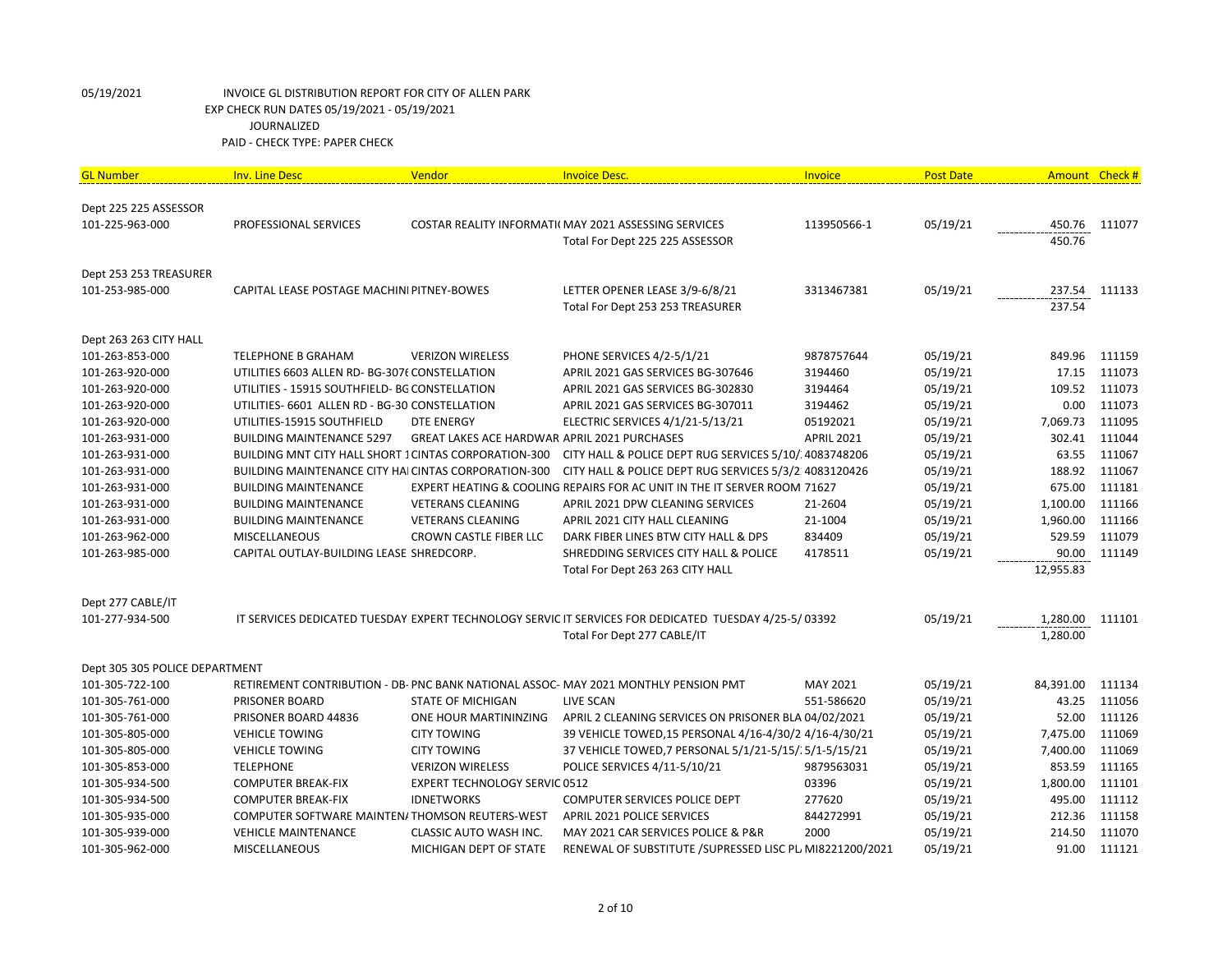| <b>GL Number</b>               | <b>Inv. Line Desc</b>                                        | Vendor                                       | <b>Invoice Desc.</b>                                                                                  | <b>Invoice</b>    | <b>Post Date</b> | Amount Check # |        |
|--------------------------------|--------------------------------------------------------------|----------------------------------------------|-------------------------------------------------------------------------------------------------------|-------------------|------------------|----------------|--------|
|                                |                                                              |                                              |                                                                                                       |                   |                  |                |        |
| Dept 225 225 ASSESSOR          |                                                              |                                              |                                                                                                       |                   |                  |                |        |
| 101-225-963-000                | PROFESSIONAL SERVICES                                        |                                              | COSTAR REALITY INFORMATI( MAY 2021 ASSESSING SERVICES                                                 | 113950566-1       | 05/19/21         | 450.76         | 111077 |
|                                |                                                              |                                              | Total For Dept 225 225 ASSESSOR                                                                       |                   |                  | 450.76         |        |
| Dept 253 253 TREASURER         |                                                              |                                              |                                                                                                       |                   |                  |                |        |
| 101-253-985-000                | CAPITAL LEASE POSTAGE MACHINI PITNEY-BOWES                   |                                              | LETTER OPENER LEASE 3/9-6/8/21                                                                        | 3313467381        | 05/19/21         | 237.54         | 111133 |
|                                |                                                              |                                              | Total For Dept 253 253 TREASURER                                                                      |                   |                  | 237.54         |        |
| Dept 263 263 CITY HALL         |                                                              |                                              |                                                                                                       |                   |                  |                |        |
| 101-263-853-000                | <b>TELEPHONE B GRAHAM</b>                                    | <b>VERIZON WIRELESS</b>                      | PHONE SERVICES 4/2-5/1/21                                                                             | 9878757644        | 05/19/21         | 849.96         | 111159 |
| 101-263-920-000                | UTILITIES 6603 ALLEN RD- BG-3076 CONSTELLATION               |                                              | APRIL 2021 GAS SERVICES BG-307646                                                                     | 3194460           | 05/19/21         | 17.15          | 111073 |
| 101-263-920-000                | UTILITIES - 15915 SOUTHFIELD- BG CONSTELLATION               |                                              | APRIL 2021 GAS SERVICES BG-302830                                                                     | 3194464           | 05/19/21         | 109.52         | 111073 |
| 101-263-920-000                | UTILITIES- 6601 ALLEN RD - BG-30 CONSTELLATION               |                                              | APRIL 2021 GAS SERVICES BG-307011                                                                     | 3194462           | 05/19/21         | 0.00           | 111073 |
| 101-263-920-000                | UTILITIES-15915 SOUTHFIELD                                   | <b>DTE ENERGY</b>                            | ELECTRIC SERVICES 4/1/21-5/13/21                                                                      | 05192021          | 05/19/21         | 7,069.73       | 111095 |
| 101-263-931-000                | <b>BUILDING MAINTENANCE 5297</b>                             | GREAT LAKES ACE HARDWAR APRIL 2021 PURCHASES |                                                                                                       | <b>APRIL 2021</b> | 05/19/21         | 302.41         | 111044 |
| 101-263-931-000                | <b>BUILDING MNT CITY HALL SHORT 1 CINTAS CORPORATION-300</b> |                                              | CITY HALL & POLICE DEPT RUG SERVICES 5/10/ 4083748206                                                 |                   | 05/19/21         | 63.55          | 111067 |
| 101-263-931-000                | BUILDING MAINTENANCE CITY HAI CINTAS CORPORATION-300         |                                              | CITY HALL & POLICE DEPT RUG SERVICES 5/3/2:4083120426                                                 |                   | 05/19/21         | 188.92         | 111067 |
| 101-263-931-000                | <b>BUILDING MAINTENANCE</b>                                  |                                              | EXPERT HEATING & COOLING REPAIRS FOR AC UNIT IN THE IT SERVER ROOM 71627                              |                   | 05/19/21         | 675.00         | 111181 |
| 101-263-931-000                | <b>BUILDING MAINTENANCE</b>                                  | <b>VETERANS CLEANING</b>                     | APRIL 2021 DPW CLEANING SERVICES                                                                      | 21-2604           | 05/19/21         | 1,100.00       | 111166 |
| 101-263-931-000                | <b>BUILDING MAINTENANCE</b>                                  | <b>VETERANS CLEANING</b>                     | APRIL 2021 CITY HALL CLEANING                                                                         | 21-1004           | 05/19/21         | 1,960.00       | 111166 |
| 101-263-962-000                | <b>MISCELLANEOUS</b>                                         | <b>CROWN CASTLE FIBER LLC</b>                | DARK FIBER LINES BTW CITY HALL & DPS                                                                  | 834409            | 05/19/21         | 529.59         | 111079 |
| 101-263-985-000                | CAPITAL OUTLAY-BUILDING LEASE SHREDCORP.                     |                                              | SHREDDING SERVICES CITY HALL & POLICE                                                                 | 4178511           | 05/19/21         | 90.00          | 111149 |
|                                |                                                              |                                              | Total For Dept 263 263 CITY HALL                                                                      |                   |                  | 12,955.83      |        |
| Dept 277 CABLE/IT              |                                                              |                                              |                                                                                                       |                   |                  |                |        |
| 101-277-934-500                |                                                              |                                              | IT SERVICES DEDICATED TUESDAY EXPERT TECHNOLOGY SERVIC IT SERVICES FOR DEDICATED TUESDAY 4/25-5/03392 |                   | 05/19/21         | 1,280.00       | 111101 |
|                                |                                                              |                                              | Total For Dept 277 CABLE/IT                                                                           |                   |                  | 1,280.00       |        |
| Dept 305 305 POLICE DEPARTMENT |                                                              |                                              |                                                                                                       |                   |                  |                |        |
| 101-305-722-100                |                                                              |                                              | RETIREMENT CONTRIBUTION - DB- PNC BANK NATIONAL ASSOC- MAY 2021 MONTHLY PENSION PMT                   | MAY 2021          | 05/19/21         | 84,391.00      | 111134 |
| 101-305-761-000                | <b>PRISONER BOARD</b>                                        | <b>STATE OF MICHIGAN</b>                     | <b>LIVE SCAN</b>                                                                                      | 551-586620        | 05/19/21         | 43.25          | 111056 |
| 101-305-761-000                | PRISONER BOARD 44836                                         | ONE HOUR MARTININZING                        | APRIL 2 CLEANING SERVICES ON PRISONER BLA 04/02/2021                                                  |                   | 05/19/21         | 52.00          | 111126 |
| 101-305-805-000                | <b>VEHICLE TOWING</b>                                        | <b>CITY TOWING</b>                           | 39 VEHICLE TOWED, 15 PERSONAL 4/16-4/30/2 4/16-4/30/21                                                |                   | 05/19/21         | 7,475.00       | 111069 |
| 101-305-805-000                | <b>VEHICLE TOWING</b>                                        | <b>CITY TOWING</b>                           | 37 VEHICLE TOWED, 7 PERSONAL 5/1/21-5/15/15/1-5/15/21                                                 |                   | 05/19/21         | 7,400.00       | 111069 |
| 101-305-853-000                | <b>TELEPHONE</b>                                             | <b>VERIZON WIRELESS</b>                      | POLICE SERVICES 4/11-5/10/21                                                                          | 9879563031        | 05/19/21         | 853.59         | 111165 |
| 101-305-934-500                | <b>COMPUTER BREAK-FIX</b>                                    | <b>EXPERT TECHNOLOGY SERVIC 0512</b>         |                                                                                                       | 03396             | 05/19/21         | 1,800.00       | 111101 |
| 101-305-934-500                | <b>COMPUTER BREAK-FIX</b>                                    | <b>IDNETWORKS</b>                            | <b>COMPUTER SERVICES POLICE DEPT</b>                                                                  | 277620            | 05/19/21         | 495.00         | 111112 |
| 101-305-935-000                | COMPUTER SOFTWARE MAINTEN/THOMSON REUTERS-WEST               |                                              | APRIL 2021 POLICE SERVICES                                                                            | 844272991         | 05/19/21         | 212.36         | 111158 |
| 101-305-939-000                | <b>VEHICLE MAINTENANCE</b>                                   | CLASSIC AUTO WASH INC.                       | MAY 2021 CAR SERVICES POLICE & P&R                                                                    | 2000              | 05/19/21         | 214.50         | 111070 |
| 101-305-962-000                | <b>MISCELLANEOUS</b>                                         | MICHIGAN DEPT OF STATE                       | RENEWAL OF SUBSTITUTE / SUPRESSED LISC PL MI8221200/2021                                              |                   | 05/19/21         | 91.00          | 111121 |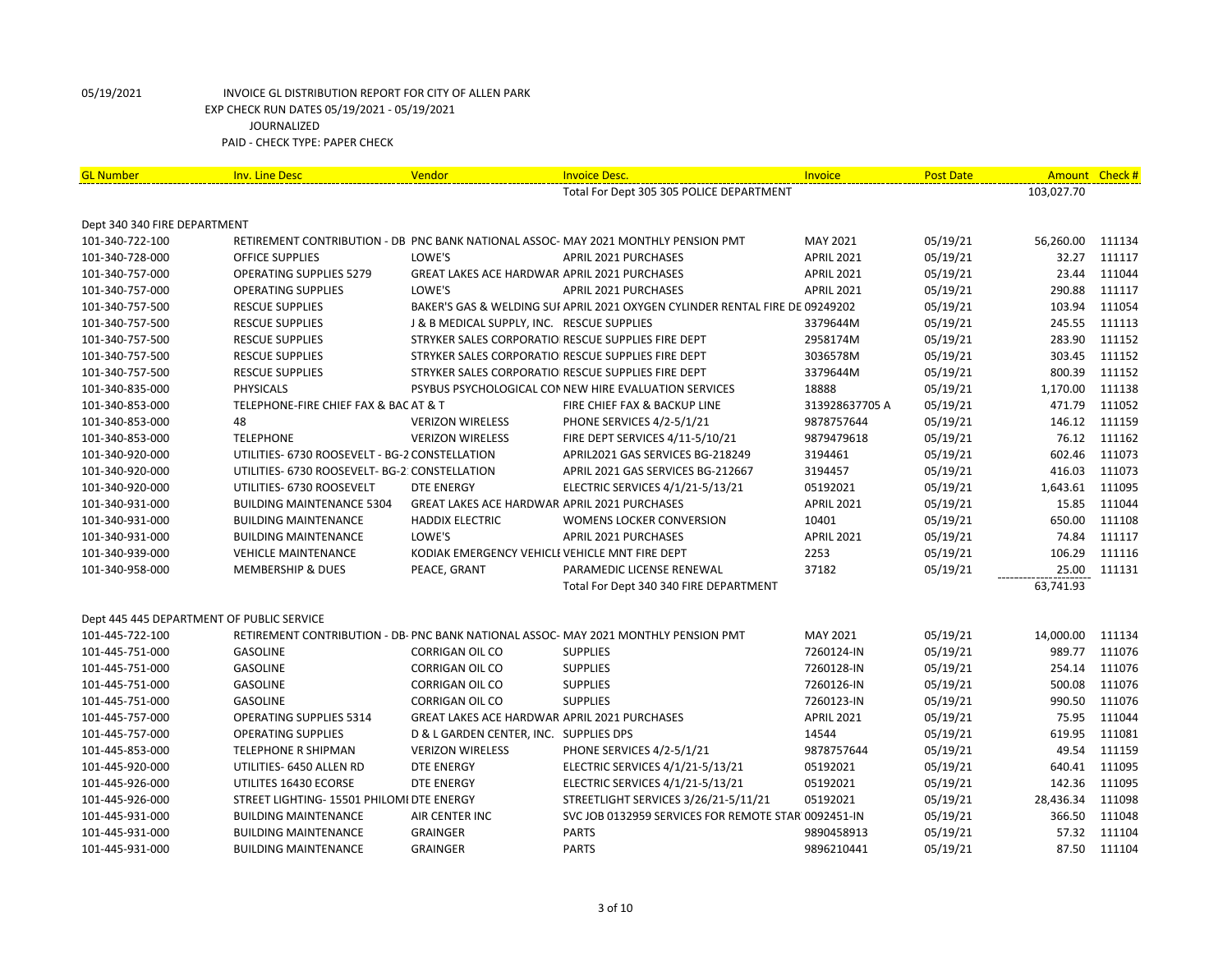| Total For Dept 305 305 POLICE DEPARTMENT<br>103,027.70<br>Dept 340 340 FIRE DEPARTMENT<br>101-340-722-100<br>RETIREMENT CONTRIBUTION - DB PNC BANK NATIONAL ASSOC-MAY 2021 MONTHLY PENSION PMT<br>MAY 2021<br>05/19/21<br>56,260.00<br>111134<br>LOWE'S<br>05/19/21<br>32.27<br>101-340-728-000<br><b>APRIL 2021 PURCHASES</b><br><b>APRIL 2021</b><br>111117<br><b>OFFICE SUPPLIES</b><br>05/19/21<br>111044<br>101-340-757-000<br><b>OPERATING SUPPLIES 5279</b><br>GREAT LAKES ACE HARDWAR APRIL 2021 PURCHASES<br><b>APRIL 2021</b><br>23.44<br>LOWE'S<br>111117<br><b>OPERATING SUPPLIES</b><br>APRIL 2021 PURCHASES<br><b>APRIL 2021</b><br>05/19/21<br>290.88<br>101-340-757-000<br>103.94<br>111054<br>101-340-757-500<br><b>RESCUE SUPPLIES</b><br>BAKER'S GAS & WELDING SUI APRIL 2021 OXYGEN CYLINDER RENTAL FIRE DE 09249202<br>05/19/21<br>245.55<br>111113<br>101-340-757-500<br><b>RESCUE SUPPLIES</b><br>J & B MEDICAL SUPPLY, INC. RESCUE SUPPLIES<br>3379644M<br>05/19/21<br>283.90<br>111152<br>STRYKER SALES CORPORATIO RESCUE SUPPLIES FIRE DEPT<br>2958174M<br>05/19/21<br>101-340-757-500<br><b>RESCUE SUPPLIES</b><br>303.45<br>3036578M<br>05/19/21<br>111152<br>101-340-757-500<br><b>RESCUE SUPPLIES</b><br>STRYKER SALES CORPORATIO RESCUE SUPPLIES FIRE DEPT<br>05/19/21<br>800.39<br>111152<br>101-340-757-500<br><b>RESCUE SUPPLIES</b><br>STRYKER SALES CORPORATIO RESCUE SUPPLIES FIRE DEPT<br>3379644M<br>1,170.00<br>111138<br><b>PHYSICALS</b><br>PSYBUS PSYCHOLOGICAL CONNEW HIRE EVALUATION SERVICES<br>18888<br>05/19/21<br>101-340-835-000<br>111052<br>05/19/21<br>471.79<br>101-340-853-000<br>TELEPHONE-FIRE CHIEF FAX & BAC AT & T<br>FIRE CHIEF FAX & BACKUP LINE<br>313928637705 A<br>48<br>146.12<br>111159<br><b>VERIZON WIRELESS</b><br>PHONE SERVICES 4/2-5/1/21<br>9878757644<br>05/19/21<br>101-340-853-000<br><b>TELEPHONE</b><br>05/19/21<br>76.12<br>111162<br>101-340-853-000<br><b>VERIZON WIRELESS</b><br>FIRE DEPT SERVICES 4/11-5/10/21<br>9879479618 |
|-------------------------------------------------------------------------------------------------------------------------------------------------------------------------------------------------------------------------------------------------------------------------------------------------------------------------------------------------------------------------------------------------------------------------------------------------------------------------------------------------------------------------------------------------------------------------------------------------------------------------------------------------------------------------------------------------------------------------------------------------------------------------------------------------------------------------------------------------------------------------------------------------------------------------------------------------------------------------------------------------------------------------------------------------------------------------------------------------------------------------------------------------------------------------------------------------------------------------------------------------------------------------------------------------------------------------------------------------------------------------------------------------------------------------------------------------------------------------------------------------------------------------------------------------------------------------------------------------------------------------------------------------------------------------------------------------------------------------------------------------------------------------------------------------------------------------------------------------------------------------------------------------------------------------------------------------------------------------------------------------------------------|
|                                                                                                                                                                                                                                                                                                                                                                                                                                                                                                                                                                                                                                                                                                                                                                                                                                                                                                                                                                                                                                                                                                                                                                                                                                                                                                                                                                                                                                                                                                                                                                                                                                                                                                                                                                                                                                                                                                                                                                                                                   |
|                                                                                                                                                                                                                                                                                                                                                                                                                                                                                                                                                                                                                                                                                                                                                                                                                                                                                                                                                                                                                                                                                                                                                                                                                                                                                                                                                                                                                                                                                                                                                                                                                                                                                                                                                                                                                                                                                                                                                                                                                   |
|                                                                                                                                                                                                                                                                                                                                                                                                                                                                                                                                                                                                                                                                                                                                                                                                                                                                                                                                                                                                                                                                                                                                                                                                                                                                                                                                                                                                                                                                                                                                                                                                                                                                                                                                                                                                                                                                                                                                                                                                                   |
|                                                                                                                                                                                                                                                                                                                                                                                                                                                                                                                                                                                                                                                                                                                                                                                                                                                                                                                                                                                                                                                                                                                                                                                                                                                                                                                                                                                                                                                                                                                                                                                                                                                                                                                                                                                                                                                                                                                                                                                                                   |
|                                                                                                                                                                                                                                                                                                                                                                                                                                                                                                                                                                                                                                                                                                                                                                                                                                                                                                                                                                                                                                                                                                                                                                                                                                                                                                                                                                                                                                                                                                                                                                                                                                                                                                                                                                                                                                                                                                                                                                                                                   |
|                                                                                                                                                                                                                                                                                                                                                                                                                                                                                                                                                                                                                                                                                                                                                                                                                                                                                                                                                                                                                                                                                                                                                                                                                                                                                                                                                                                                                                                                                                                                                                                                                                                                                                                                                                                                                                                                                                                                                                                                                   |
|                                                                                                                                                                                                                                                                                                                                                                                                                                                                                                                                                                                                                                                                                                                                                                                                                                                                                                                                                                                                                                                                                                                                                                                                                                                                                                                                                                                                                                                                                                                                                                                                                                                                                                                                                                                                                                                                                                                                                                                                                   |
|                                                                                                                                                                                                                                                                                                                                                                                                                                                                                                                                                                                                                                                                                                                                                                                                                                                                                                                                                                                                                                                                                                                                                                                                                                                                                                                                                                                                                                                                                                                                                                                                                                                                                                                                                                                                                                                                                                                                                                                                                   |
|                                                                                                                                                                                                                                                                                                                                                                                                                                                                                                                                                                                                                                                                                                                                                                                                                                                                                                                                                                                                                                                                                                                                                                                                                                                                                                                                                                                                                                                                                                                                                                                                                                                                                                                                                                                                                                                                                                                                                                                                                   |
|                                                                                                                                                                                                                                                                                                                                                                                                                                                                                                                                                                                                                                                                                                                                                                                                                                                                                                                                                                                                                                                                                                                                                                                                                                                                                                                                                                                                                                                                                                                                                                                                                                                                                                                                                                                                                                                                                                                                                                                                                   |
|                                                                                                                                                                                                                                                                                                                                                                                                                                                                                                                                                                                                                                                                                                                                                                                                                                                                                                                                                                                                                                                                                                                                                                                                                                                                                                                                                                                                                                                                                                                                                                                                                                                                                                                                                                                                                                                                                                                                                                                                                   |
|                                                                                                                                                                                                                                                                                                                                                                                                                                                                                                                                                                                                                                                                                                                                                                                                                                                                                                                                                                                                                                                                                                                                                                                                                                                                                                                                                                                                                                                                                                                                                                                                                                                                                                                                                                                                                                                                                                                                                                                                                   |
|                                                                                                                                                                                                                                                                                                                                                                                                                                                                                                                                                                                                                                                                                                                                                                                                                                                                                                                                                                                                                                                                                                                                                                                                                                                                                                                                                                                                                                                                                                                                                                                                                                                                                                                                                                                                                                                                                                                                                                                                                   |
|                                                                                                                                                                                                                                                                                                                                                                                                                                                                                                                                                                                                                                                                                                                                                                                                                                                                                                                                                                                                                                                                                                                                                                                                                                                                                                                                                                                                                                                                                                                                                                                                                                                                                                                                                                                                                                                                                                                                                                                                                   |
|                                                                                                                                                                                                                                                                                                                                                                                                                                                                                                                                                                                                                                                                                                                                                                                                                                                                                                                                                                                                                                                                                                                                                                                                                                                                                                                                                                                                                                                                                                                                                                                                                                                                                                                                                                                                                                                                                                                                                                                                                   |
|                                                                                                                                                                                                                                                                                                                                                                                                                                                                                                                                                                                                                                                                                                                                                                                                                                                                                                                                                                                                                                                                                                                                                                                                                                                                                                                                                                                                                                                                                                                                                                                                                                                                                                                                                                                                                                                                                                                                                                                                                   |
| 602.46<br>111073<br>101-340-920-000<br>UTILITIES- 6730 ROOSEVELT - BG-2 CONSTELLATION<br>APRIL2021 GAS SERVICES BG-218249<br>3194461<br>05/19/21                                                                                                                                                                                                                                                                                                                                                                                                                                                                                                                                                                                                                                                                                                                                                                                                                                                                                                                                                                                                                                                                                                                                                                                                                                                                                                                                                                                                                                                                                                                                                                                                                                                                                                                                                                                                                                                                  |
| 416.03<br>111073<br>101-340-920-000<br>UTILITIES- 6730 ROOSEVELT- BG-2: CONSTELLATION<br>APRIL 2021 GAS SERVICES BG-212667<br>3194457<br>05/19/21                                                                                                                                                                                                                                                                                                                                                                                                                                                                                                                                                                                                                                                                                                                                                                                                                                                                                                                                                                                                                                                                                                                                                                                                                                                                                                                                                                                                                                                                                                                                                                                                                                                                                                                                                                                                                                                                 |
| 1,643.61<br>111095<br>101-340-920-000<br>UTILITIES- 6730 ROOSEVELT<br><b>DTE ENERGY</b><br>ELECTRIC SERVICES 4/1/21-5/13/21<br>05192021<br>05/19/21                                                                                                                                                                                                                                                                                                                                                                                                                                                                                                                                                                                                                                                                                                                                                                                                                                                                                                                                                                                                                                                                                                                                                                                                                                                                                                                                                                                                                                                                                                                                                                                                                                                                                                                                                                                                                                                               |
| 05/19/21<br>15.85<br>111044<br>101-340-931-000<br><b>BUILDING MAINTENANCE 5304</b><br><b>GREAT LAKES ACE HARDWAR APRIL 2021 PURCHASES</b><br><b>APRIL 2021</b>                                                                                                                                                                                                                                                                                                                                                                                                                                                                                                                                                                                                                                                                                                                                                                                                                                                                                                                                                                                                                                                                                                                                                                                                                                                                                                                                                                                                                                                                                                                                                                                                                                                                                                                                                                                                                                                    |
| 650.00<br>111108<br><b>BUILDING MAINTENANCE</b><br><b>HADDIX ELECTRIC</b><br>WOMENS LOCKER CONVERSION<br>10401<br>05/19/21<br>101-340-931-000                                                                                                                                                                                                                                                                                                                                                                                                                                                                                                                                                                                                                                                                                                                                                                                                                                                                                                                                                                                                                                                                                                                                                                                                                                                                                                                                                                                                                                                                                                                                                                                                                                                                                                                                                                                                                                                                     |
| 74.84<br>111117<br><b>BUILDING MAINTENANCE</b><br>LOWE'S<br>APRIL 2021 PURCHASES<br><b>APRIL 2021</b><br>05/19/21<br>101-340-931-000                                                                                                                                                                                                                                                                                                                                                                                                                                                                                                                                                                                                                                                                                                                                                                                                                                                                                                                                                                                                                                                                                                                                                                                                                                                                                                                                                                                                                                                                                                                                                                                                                                                                                                                                                                                                                                                                              |
| 106.29<br>111116<br>KODIAK EMERGENCY VEHICLE VEHICLE MNT FIRE DEPT<br>2253<br>05/19/21<br>101-340-939-000<br><b>VEHICLE MAINTENANCE</b>                                                                                                                                                                                                                                                                                                                                                                                                                                                                                                                                                                                                                                                                                                                                                                                                                                                                                                                                                                                                                                                                                                                                                                                                                                                                                                                                                                                                                                                                                                                                                                                                                                                                                                                                                                                                                                                                           |
| <b>MEMBERSHIP &amp; DUES</b><br>37182<br>05/19/21<br>25.00<br>111131<br>101-340-958-000<br>PEACE, GRANT<br>PARAMEDIC LICENSE RENEWAL                                                                                                                                                                                                                                                                                                                                                                                                                                                                                                                                                                                                                                                                                                                                                                                                                                                                                                                                                                                                                                                                                                                                                                                                                                                                                                                                                                                                                                                                                                                                                                                                                                                                                                                                                                                                                                                                              |
| Total For Dept 340 340 FIRE DEPARTMENT<br>63,741.93                                                                                                                                                                                                                                                                                                                                                                                                                                                                                                                                                                                                                                                                                                                                                                                                                                                                                                                                                                                                                                                                                                                                                                                                                                                                                                                                                                                                                                                                                                                                                                                                                                                                                                                                                                                                                                                                                                                                                               |
| Dept 445 445 DEPARTMENT OF PUBLIC SERVICE                                                                                                                                                                                                                                                                                                                                                                                                                                                                                                                                                                                                                                                                                                                                                                                                                                                                                                                                                                                                                                                                                                                                                                                                                                                                                                                                                                                                                                                                                                                                                                                                                                                                                                                                                                                                                                                                                                                                                                         |
| 101-445-722-100<br>RETIREMENT CONTRIBUTION - DB- PNC BANK NATIONAL ASSOC- MAY 2021 MONTHLY PENSION PMT<br>MAY 2021<br>05/19/21<br>14,000.00<br>111134                                                                                                                                                                                                                                                                                                                                                                                                                                                                                                                                                                                                                                                                                                                                                                                                                                                                                                                                                                                                                                                                                                                                                                                                                                                                                                                                                                                                                                                                                                                                                                                                                                                                                                                                                                                                                                                             |
| GASOLINE<br><b>SUPPLIES</b><br>05/19/21<br>989.77<br>111076<br>101-445-751-000<br><b>CORRIGAN OIL CO</b><br>7260124-IN                                                                                                                                                                                                                                                                                                                                                                                                                                                                                                                                                                                                                                                                                                                                                                                                                                                                                                                                                                                                                                                                                                                                                                                                                                                                                                                                                                                                                                                                                                                                                                                                                                                                                                                                                                                                                                                                                            |
| <b>SUPPLIES</b><br>05/19/21<br>254.14<br>111076<br>101-445-751-000<br><b>GASOLINE</b><br><b>CORRIGAN OIL CO</b><br>7260128-IN                                                                                                                                                                                                                                                                                                                                                                                                                                                                                                                                                                                                                                                                                                                                                                                                                                                                                                                                                                                                                                                                                                                                                                                                                                                                                                                                                                                                                                                                                                                                                                                                                                                                                                                                                                                                                                                                                     |
| <b>GASOLINE</b><br><b>CORRIGAN OIL CO</b><br><b>SUPPLIES</b><br>7260126-IN<br>05/19/21<br>500.08<br>111076<br>101-445-751-000                                                                                                                                                                                                                                                                                                                                                                                                                                                                                                                                                                                                                                                                                                                                                                                                                                                                                                                                                                                                                                                                                                                                                                                                                                                                                                                                                                                                                                                                                                                                                                                                                                                                                                                                                                                                                                                                                     |
| 990.50<br><b>CORRIGAN OIL CO</b><br><b>SUPPLIES</b><br>05/19/21<br>111076<br>101-445-751-000<br><b>GASOLINE</b><br>7260123-IN                                                                                                                                                                                                                                                                                                                                                                                                                                                                                                                                                                                                                                                                                                                                                                                                                                                                                                                                                                                                                                                                                                                                                                                                                                                                                                                                                                                                                                                                                                                                                                                                                                                                                                                                                                                                                                                                                     |
| 05/19/21<br>75.95<br>111044<br>101-445-757-000<br><b>OPERATING SUPPLIES 5314</b><br>GREAT LAKES ACE HARDWAR APRIL 2021 PURCHASES<br><b>APRIL 2021</b>                                                                                                                                                                                                                                                                                                                                                                                                                                                                                                                                                                                                                                                                                                                                                                                                                                                                                                                                                                                                                                                                                                                                                                                                                                                                                                                                                                                                                                                                                                                                                                                                                                                                                                                                                                                                                                                             |
| 619.95<br>111081<br><b>OPERATING SUPPLIES</b><br>D & L GARDEN CENTER, INC. SUPPLIES DPS<br>14544<br>05/19/21<br>101-445-757-000                                                                                                                                                                                                                                                                                                                                                                                                                                                                                                                                                                                                                                                                                                                                                                                                                                                                                                                                                                                                                                                                                                                                                                                                                                                                                                                                                                                                                                                                                                                                                                                                                                                                                                                                                                                                                                                                                   |
| 9878757644<br>05/19/21<br>49.54<br>111159<br>101-445-853-000<br>TELEPHONE R SHIPMAN<br><b>VERIZON WIRELESS</b><br>PHONE SERVICES 4/2-5/1/21                                                                                                                                                                                                                                                                                                                                                                                                                                                                                                                                                                                                                                                                                                                                                                                                                                                                                                                                                                                                                                                                                                                                                                                                                                                                                                                                                                                                                                                                                                                                                                                                                                                                                                                                                                                                                                                                       |
| 640.41<br>111095<br>UTILITIES- 6450 ALLEN RD<br><b>DTE ENERGY</b><br>ELECTRIC SERVICES 4/1/21-5/13/21<br>05192021<br>05/19/21<br>101-445-920-000                                                                                                                                                                                                                                                                                                                                                                                                                                                                                                                                                                                                                                                                                                                                                                                                                                                                                                                                                                                                                                                                                                                                                                                                                                                                                                                                                                                                                                                                                                                                                                                                                                                                                                                                                                                                                                                                  |
| 142.36<br>ELECTRIC SERVICES 4/1/21-5/13/21<br>05192021<br>05/19/21<br>111095<br>101-445-926-000<br>UTILITES 16430 ECORSE<br><b>DTE ENERGY</b>                                                                                                                                                                                                                                                                                                                                                                                                                                                                                                                                                                                                                                                                                                                                                                                                                                                                                                                                                                                                                                                                                                                                                                                                                                                                                                                                                                                                                                                                                                                                                                                                                                                                                                                                                                                                                                                                     |
| 28,436.34<br>111098<br>101-445-926-000<br>STREET LIGHTING- 15501 PHILOMI DTE ENERGY<br>STREETLIGHT SERVICES 3/26/21-5/11/21<br>05192021<br>05/19/21                                                                                                                                                                                                                                                                                                                                                                                                                                                                                                                                                                                                                                                                                                                                                                                                                                                                                                                                                                                                                                                                                                                                                                                                                                                                                                                                                                                                                                                                                                                                                                                                                                                                                                                                                                                                                                                               |
| 366.50<br>111048<br><b>BUILDING MAINTENANCE</b><br>AIR CENTER INC<br>SVC JOB 0132959 SERVICES FOR REMOTE STAR 0092451-IN<br>05/19/21<br>101-445-931-000                                                                                                                                                                                                                                                                                                                                                                                                                                                                                                                                                                                                                                                                                                                                                                                                                                                                                                                                                                                                                                                                                                                                                                                                                                                                                                                                                                                                                                                                                                                                                                                                                                                                                                                                                                                                                                                           |
| <b>PARTS</b><br>57.32<br>111104<br>101-445-931-000<br><b>BUILDING MAINTENANCE</b><br><b>GRAINGER</b><br>9890458913<br>05/19/21                                                                                                                                                                                                                                                                                                                                                                                                                                                                                                                                                                                                                                                                                                                                                                                                                                                                                                                                                                                                                                                                                                                                                                                                                                                                                                                                                                                                                                                                                                                                                                                                                                                                                                                                                                                                                                                                                    |
| <b>PARTS</b><br>05/19/21<br>87.50<br>111104<br>101-445-931-000<br><b>BUILDING MAINTENANCE</b><br><b>GRAINGER</b><br>9896210441                                                                                                                                                                                                                                                                                                                                                                                                                                                                                                                                                                                                                                                                                                                                                                                                                                                                                                                                                                                                                                                                                                                                                                                                                                                                                                                                                                                                                                                                                                                                                                                                                                                                                                                                                                                                                                                                                    |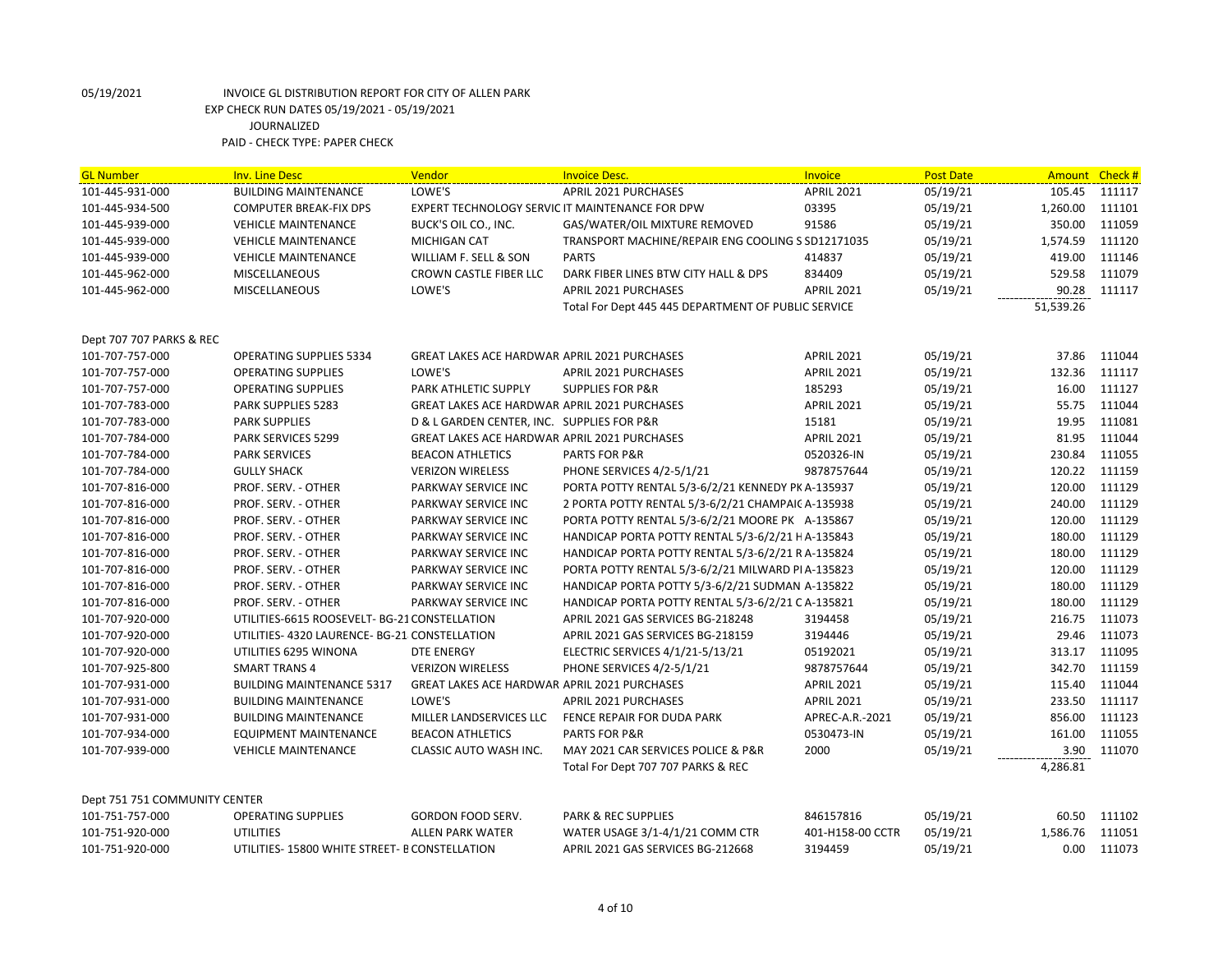| <b>GL Number</b>                                 | <b>Inv. Line Desc</b>                         | Vendor                                              | <b>Invoice Desc.</b>                                | Invoice           | <b>Post Date</b> | Amount Check# |        |
|--------------------------------------------------|-----------------------------------------------|-----------------------------------------------------|-----------------------------------------------------|-------------------|------------------|---------------|--------|
| 101-445-931-000                                  | <b>BUILDING MAINTENANCE</b>                   | LOWE'S                                              | <b>APRIL 2021 PURCHASES</b>                         | <b>APRIL 2021</b> | 05/19/21         | 105.45        | 111117 |
| 101-445-934-500                                  | <b>COMPUTER BREAK-FIX DPS</b>                 | EXPERT TECHNOLOGY SERVIC IT MAINTENANCE FOR DPW     |                                                     | 03395             | 05/19/21         | 1,260.00      | 111101 |
| 101-445-939-000                                  | <b>VEHICLE MAINTENANCE</b>                    | BUCK'S OIL CO., INC.                                | GAS/WATER/OIL MIXTURE REMOVED                       | 91586             | 05/19/21         | 350.00        | 111059 |
| 101-445-939-000                                  | <b>VEHICLE MAINTENANCE</b>                    | <b>MICHIGAN CAT</b>                                 | TRANSPORT MACHINE/REPAIR ENG COOLING S SD12171035   |                   | 05/19/21         | 1,574.59      | 111120 |
| 101-445-939-000                                  | <b>VEHICLE MAINTENANCE</b>                    | WILLIAM F. SELL & SON                               | <b>PARTS</b>                                        | 414837            | 05/19/21         | 419.00        | 111146 |
| 101-445-962-000                                  | <b>MISCELLANEOUS</b>                          | CROWN CASTLE FIBER LLC                              | DARK FIBER LINES BTW CITY HALL & DPS                | 834409            | 05/19/21         | 529.58        | 111079 |
| 101-445-962-000                                  | <b>MISCELLANEOUS</b>                          | LOWE'S                                              | <b>APRIL 2021 PURCHASES</b>                         | <b>APRIL 2021</b> | 05/19/21         | 90.28         | 111117 |
|                                                  |                                               |                                                     | Total For Dept 445 445 DEPARTMENT OF PUBLIC SERVICE |                   |                  | 51,539.26     |        |
|                                                  |                                               |                                                     |                                                     |                   |                  |               |        |
| Dept 707 707 PARKS & REC                         |                                               |                                                     |                                                     |                   |                  |               |        |
| 101-707-757-000                                  | OPERATING SUPPLIES 5334                       | <b>GREAT LAKES ACE HARDWAR APRIL 2021 PURCHASES</b> |                                                     | <b>APRIL 2021</b> | 05/19/21         | 37.86         | 111044 |
| 101-707-757-000                                  | <b>OPERATING SUPPLIES</b>                     | LOWE'S                                              | <b>APRIL 2021 PURCHASES</b>                         | <b>APRIL 2021</b> | 05/19/21         | 132.36        | 111117 |
| 101-707-757-000                                  | <b>OPERATING SUPPLIES</b>                     | PARK ATHLETIC SUPPLY                                | <b>SUPPLIES FOR P&amp;R</b>                         | 185293            | 05/19/21         | 16.00         | 111127 |
| 101-707-783-000                                  | PARK SUPPLIES 5283                            | <b>GREAT LAKES ACE HARDWAR APRIL 2021 PURCHASES</b> |                                                     | <b>APRIL 2021</b> | 05/19/21         | 55.75         | 111044 |
| 101-707-783-000                                  | <b>PARK SUPPLIES</b>                          | D & L GARDEN CENTER, INC. SUPPLIES FOR P&R          |                                                     | 15181             | 05/19/21         | 19.95         | 111081 |
| 101-707-784-000                                  | <b>PARK SERVICES 5299</b>                     | <b>GREAT LAKES ACE HARDWAR APRIL 2021 PURCHASES</b> |                                                     | <b>APRIL 2021</b> | 05/19/21         | 81.95         | 111044 |
| 101-707-784-000                                  | <b>PARK SERVICES</b>                          | <b>BEACON ATHLETICS</b>                             | <b>PARTS FOR P&amp;R</b>                            | 0520326-IN        | 05/19/21         | 230.84        | 111055 |
| 101-707-784-000                                  | <b>GULLY SHACK</b>                            | <b>VERIZON WIRELESS</b>                             | PHONE SERVICES 4/2-5/1/21                           | 9878757644        | 05/19/21         | 120.22        | 111159 |
| 101-707-816-000                                  | PROF. SERV. - OTHER                           | PARKWAY SERVICE INC                                 | PORTA POTTY RENTAL 5/3-6/2/21 KENNEDY PK A-135937   |                   | 05/19/21         | 120.00        | 111129 |
| 101-707-816-000                                  | PROF. SERV. - OTHER                           | PARKWAY SERVICE INC                                 | 2 PORTA POTTY RENTAL 5/3-6/2/21 CHAMPAIC A-135938   |                   | 05/19/21         | 240.00        | 111129 |
| 101-707-816-000                                  | PROF. SERV. - OTHER                           | PARKWAY SERVICE INC                                 | PORTA POTTY RENTAL 5/3-6/2/21 MOORE PK A-135867     |                   | 05/19/21         | 120.00        | 111129 |
| 101-707-816-000                                  | PROF. SERV. - OTHER                           | PARKWAY SERVICE INC                                 | HANDICAP PORTA POTTY RENTAL 5/3-6/2/21 HA-135843    |                   | 05/19/21         | 180.00        | 111129 |
| 101-707-816-000                                  | PROF. SERV. - OTHER                           | PARKWAY SERVICE INC                                 | HANDICAP PORTA POTTY RENTAL 5/3-6/2/21 R A-135824   |                   | 05/19/21         | 180.00        | 111129 |
| 101-707-816-000                                  | PROF. SERV. - OTHER                           | PARKWAY SERVICE INC                                 | PORTA POTTY RENTAL 5/3-6/2/21 MILWARD PI A-135823   |                   | 05/19/21         | 120.00        | 111129 |
| 101-707-816-000                                  | PROF. SERV. - OTHER                           | PARKWAY SERVICE INC                                 | HANDICAP PORTA POTTY 5/3-6/2/21 SUDMAN A-135822     |                   | 05/19/21         | 180.00        | 111129 |
| 101-707-816-000                                  | PROF. SERV. - OTHER                           | PARKWAY SERVICE INC                                 | HANDICAP PORTA POTTY RENTAL 5/3-6/2/21 C A-135821   |                   | 05/19/21         | 180.00        | 111129 |
| 101-707-920-000                                  | UTILITIES-6615 ROOSEVELT- BG-21 CONSTELLATION |                                                     | APRIL 2021 GAS SERVICES BG-218248                   | 3194458           | 05/19/21         | 216.75        | 111073 |
| 101-707-920-000                                  | UTILITIES- 4320 LAURENCE- BG-21 CONSTELLATION |                                                     | APRIL 2021 GAS SERVICES BG-218159                   | 3194446           | 05/19/21         | 29.46         | 111073 |
| 101-707-920-000                                  | UTILITIES 6295 WINONA                         | <b>DTE ENERGY</b>                                   | ELECTRIC SERVICES 4/1/21-5/13/21                    | 05192021          | 05/19/21         | 313.17        | 111095 |
| 101-707-925-800                                  | <b>SMART TRANS 4</b>                          | <b>VERIZON WIRELESS</b>                             | PHONE SERVICES 4/2-5/1/21                           | 9878757644        | 05/19/21         | 342.70        | 111159 |
| 101-707-931-000                                  | <b>BUILDING MAINTENANCE 5317</b>              | GREAT LAKES ACE HARDWAR APRIL 2021 PURCHASES        |                                                     | <b>APRIL 2021</b> | 05/19/21         | 115.40        | 111044 |
| 101-707-931-000                                  | <b>BUILDING MAINTENANCE</b>                   | LOWE'S                                              | <b>APRIL 2021 PURCHASES</b>                         | <b>APRIL 2021</b> | 05/19/21         | 233.50        | 111117 |
| 101-707-931-000                                  | <b>BUILDING MAINTENANCE</b>                   | MILLER LANDSERVICES LLC                             | FENCE REPAIR FOR DUDA PARK                          | APREC-A.R.-2021   | 05/19/21         | 856.00        | 111123 |
| 101-707-934-000                                  | <b>EQUIPMENT MAINTENANCE</b>                  | <b>BEACON ATHLETICS</b>                             | <b>PARTS FOR P&amp;R</b>                            | 0530473-IN        | 05/19/21         | 161.00        | 111055 |
| 101-707-939-000                                  | <b>VEHICLE MAINTENANCE</b>                    | CLASSIC AUTO WASH INC.                              | MAY 2021 CAR SERVICES POLICE & P&R                  | 2000              | 05/19/21         | 3.90          | 111070 |
|                                                  |                                               |                                                     | Total For Dept 707 707 PARKS & REC                  |                   |                  | 4,286.81      |        |
|                                                  |                                               |                                                     |                                                     |                   |                  |               |        |
| Dept 751 751 COMMUNITY CENTER<br>101-751-757-000 | <b>OPERATING SUPPLIES</b>                     | GORDON FOOD SERV.                                   | <b>PARK &amp; REC SUPPLIES</b>                      | 846157816         | 05/19/21         | 60.50         | 111102 |
|                                                  | <b>UTILITIES</b>                              |                                                     |                                                     |                   |                  |               | 111051 |
| 101-751-920-000                                  |                                               | <b>ALLEN PARK WATER</b>                             | WATER USAGE 3/1-4/1/21 COMM CTR                     | 401-H158-00 CCTR  | 05/19/21         | 1,586.76      |        |
| 101-751-920-000                                  | UTILITIES-15800 WHITE STREET- B CONSTELLATION |                                                     | APRIL 2021 GAS SERVICES BG-212668                   | 3194459           | 05/19/21         | 0.00          | 111073 |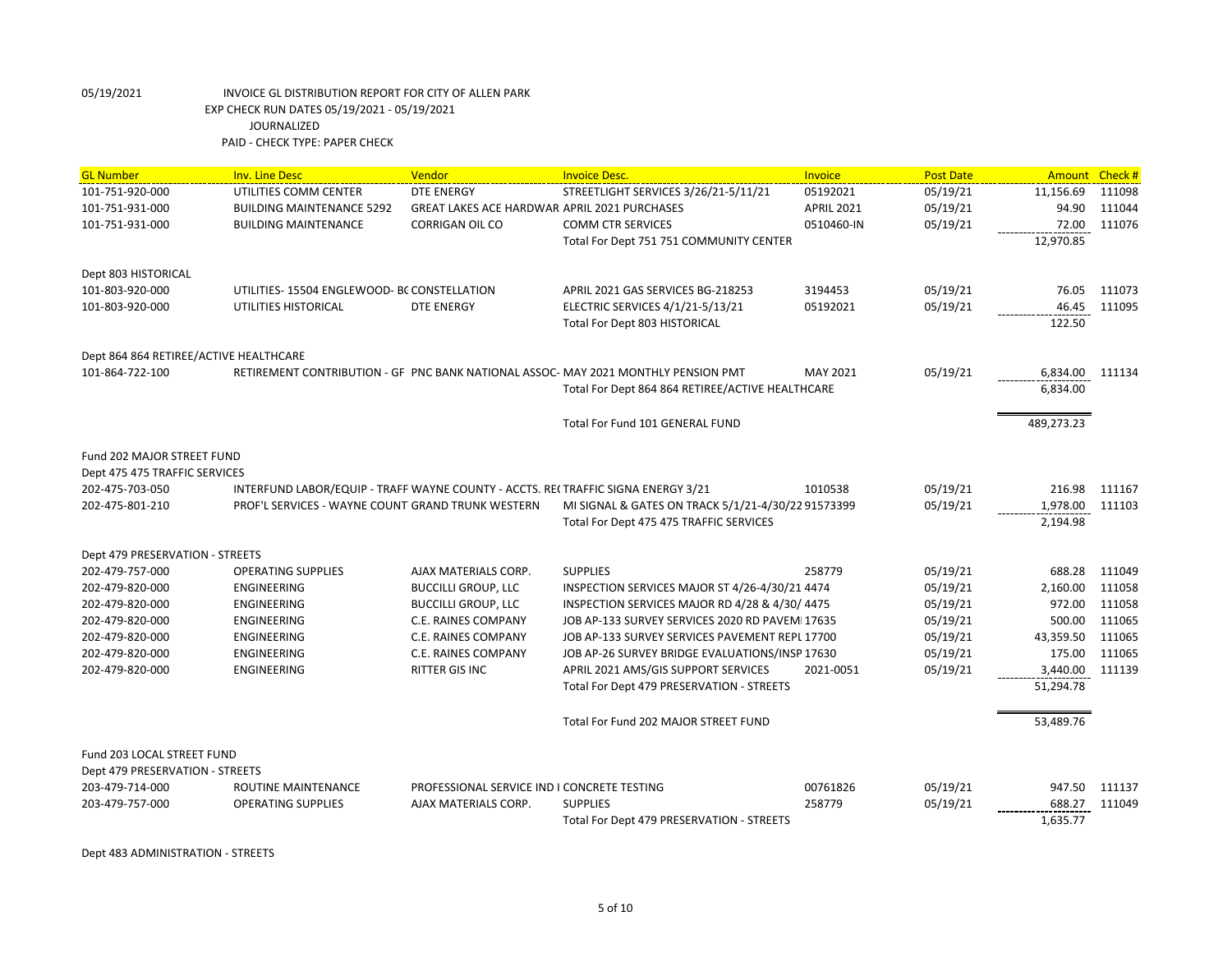| <b>GL Number</b>                       | <b>Inv. Line Desc</b>                                                            | Vendor                                              | <b>Invoice Desc.</b>                                                               | Invoice           | <b>Post Date</b> | <b>Amount</b>   | Check# |
|----------------------------------------|----------------------------------------------------------------------------------|-----------------------------------------------------|------------------------------------------------------------------------------------|-------------------|------------------|-----------------|--------|
| 101-751-920-000                        | UTILITIES COMM CENTER                                                            | <b>DTE ENERGY</b>                                   | STREETLIGHT SERVICES 3/26/21-5/11/21                                               | 05192021          | 05/19/21         | 11,156.69       | 111098 |
| 101-751-931-000                        | <b>BUILDING MAINTENANCE 5292</b>                                                 | <b>GREAT LAKES ACE HARDWAR APRIL 2021 PURCHASES</b> |                                                                                    | <b>APRIL 2021</b> | 05/19/21         | 94.90           | 111044 |
| 101-751-931-000                        | <b>BUILDING MAINTENANCE</b>                                                      | <b>CORRIGAN OIL CO</b>                              | <b>COMM CTR SERVICES</b>                                                           | 0510460-IN        | 05/19/21         | 72.00           | 111076 |
|                                        |                                                                                  |                                                     | Total For Dept 751 751 COMMUNITY CENTER                                            |                   |                  | 12,970.85       |        |
| Dept 803 HISTORICAL                    |                                                                                  |                                                     |                                                                                    |                   |                  |                 |        |
| 101-803-920-000                        | UTILITIES-15504 ENGLEWOOD- BC CONSTELLATION                                      |                                                     | APRIL 2021 GAS SERVICES BG-218253                                                  | 3194453           | 05/19/21         | 76.05           | 111073 |
| 101-803-920-000                        | UTILITIES HISTORICAL                                                             | <b>DTE ENERGY</b>                                   | ELECTRIC SERVICES 4/1/21-5/13/21                                                   | 05192021          | 05/19/21         | 46.45           | 111095 |
|                                        |                                                                                  |                                                     | Total For Dept 803 HISTORICAL                                                      |                   |                  | 122.50          |        |
| Dept 864 864 RETIREE/ACTIVE HEALTHCARE |                                                                                  |                                                     |                                                                                    |                   |                  |                 |        |
| 101-864-722-100                        |                                                                                  |                                                     | RETIREMENT CONTRIBUTION - GF PNC BANK NATIONAL ASSOC- MAY 2021 MONTHLY PENSION PMT | MAY 2021          | 05/19/21         | 6,834.00 111134 |        |
|                                        |                                                                                  |                                                     | Total For Dept 864 864 RETIREE/ACTIVE HEALTHCARE                                   |                   |                  | 6,834.00        |        |
|                                        |                                                                                  |                                                     | Total For Fund 101 GENERAL FUND                                                    |                   |                  | 489,273.23      |        |
| Fund 202 MAJOR STREET FUND             |                                                                                  |                                                     |                                                                                    |                   |                  |                 |        |
| Dept 475 475 TRAFFIC SERVICES          |                                                                                  |                                                     |                                                                                    |                   |                  |                 |        |
| 202-475-703-050                        | INTERFUND LABOR/EQUIP - TRAFF WAYNE COUNTY - ACCTS. RECTRAFFIC SIGNA ENERGY 3/21 |                                                     |                                                                                    | 1010538           | 05/19/21         | 216.98          | 111167 |
| 202-475-801-210                        | PROF'L SERVICES - WAYNE COUNT GRAND TRUNK WESTERN                                |                                                     | MI SIGNAL & GATES ON TRACK 5/1/21-4/30/22 91573399                                 |                   | 05/19/21         | 1,978.00        | 111103 |
|                                        |                                                                                  |                                                     | Total For Dept 475 475 TRAFFIC SERVICES                                            |                   |                  | 2,194.98        |        |
| Dept 479 PRESERVATION - STREETS        |                                                                                  |                                                     |                                                                                    |                   |                  |                 |        |
| 202-479-757-000                        | <b>OPERATING SUPPLIES</b>                                                        | AJAX MATERIALS CORP.                                | <b>SUPPLIES</b>                                                                    | 258779            | 05/19/21         | 688.28          | 111049 |
| 202-479-820-000                        | <b>ENGINEERING</b>                                                               | <b>BUCCILLI GROUP, LLC</b>                          | INSPECTION SERVICES MAJOR ST 4/26-4/30/21 4474                                     |                   | 05/19/21         | 2,160.00        | 111058 |
| 202-479-820-000                        | ENGINEERING                                                                      | <b>BUCCILLI GROUP, LLC</b>                          | INSPECTION SERVICES MAJOR RD 4/28 & 4/30/ 4475                                     |                   | 05/19/21         | 972.00          | 111058 |
| 202-479-820-000                        | ENGINEERING                                                                      | C.E. RAINES COMPANY                                 | JOB AP-133 SURVEY SERVICES 2020 RD PAVEMI17635                                     |                   | 05/19/21         | 500.00          | 111065 |
| 202-479-820-000                        | ENGINEERING                                                                      | C.E. RAINES COMPANY                                 | JOB AP-133 SURVEY SERVICES PAVEMENT REPL 17700                                     |                   | 05/19/21         | 43,359.50       | 111065 |
| 202-479-820-000                        | ENGINEERING                                                                      | C.E. RAINES COMPANY                                 | JOB AP-26 SURVEY BRIDGE EVALUATIONS/INSP 17630                                     |                   | 05/19/21         | 175.00          | 111065 |
| 202-479-820-000                        | <b>ENGINEERING</b>                                                               | RITTER GIS INC                                      | APRIL 2021 AMS/GIS SUPPORT SERVICES                                                | 2021-0051         | 05/19/21         | 3,440.00        | 111139 |
|                                        |                                                                                  |                                                     | Total For Dept 479 PRESERVATION - STREETS                                          |                   |                  | 51,294.78       |        |
|                                        |                                                                                  |                                                     | Total For Fund 202 MAJOR STREET FUND                                               |                   |                  | 53,489.76       |        |
| Fund 203 LOCAL STREET FUND             |                                                                                  |                                                     |                                                                                    |                   |                  |                 |        |
| Dept 479 PRESERVATION - STREETS        |                                                                                  |                                                     |                                                                                    |                   |                  |                 |        |
| 203-479-714-000                        | ROUTINE MAINTENANCE                                                              | PROFESSIONAL SERVICE IND I CONCRETE TESTING         |                                                                                    | 00761826          | 05/19/21         | 947.50          | 111137 |
| 203-479-757-000                        | <b>OPERATING SUPPLIES</b>                                                        | AJAX MATERIALS CORP.                                | <b>SUPPLIES</b>                                                                    | 258779            | 05/19/21         | 688.27          | 111049 |
|                                        |                                                                                  |                                                     | Total For Dept 479 PRESERVATION - STREETS                                          |                   |                  | 1,635.77        |        |

Dept 483 ADMINISTRATION - STREETS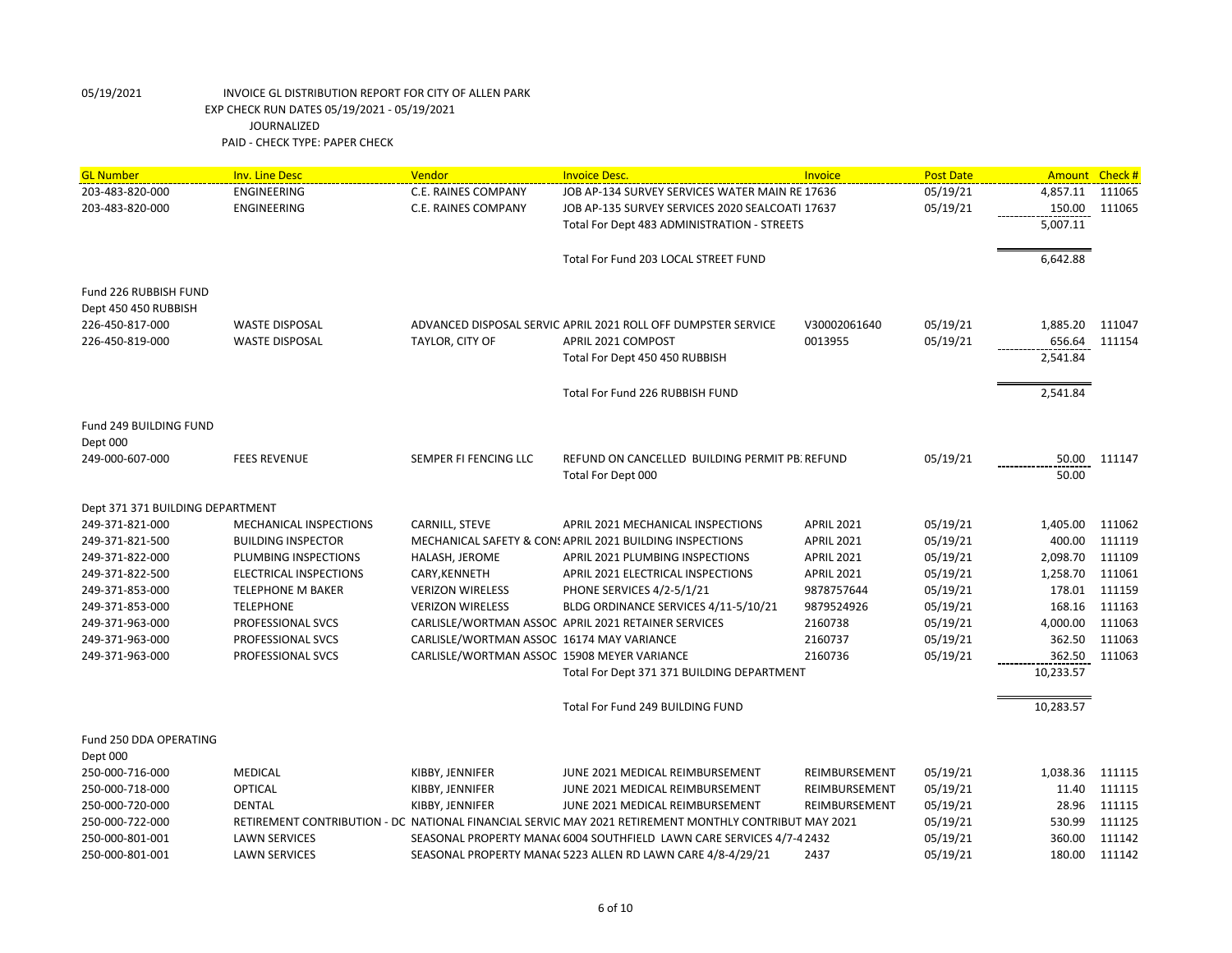| <b>GL Number</b>                 | <b>Inv. Line Desc</b>     | Vendor                                      | <b>Invoice Desc.</b>                                                                                  | Invoice           | <b>Post Date</b> | Amount Check # |        |
|----------------------------------|---------------------------|---------------------------------------------|-------------------------------------------------------------------------------------------------------|-------------------|------------------|----------------|--------|
| 203-483-820-000                  | ENGINEERING               | C.E. RAINES COMPANY                         | JOB AP-134 SURVEY SERVICES WATER MAIN RE 17636                                                        |                   | 05/19/21         | 4,857.11       | 111065 |
| 203-483-820-000                  | <b>ENGINEERING</b>        | C.E. RAINES COMPANY                         | JOB AP-135 SURVEY SERVICES 2020 SEALCOATI 17637                                                       |                   | 05/19/21         | 150.00         | 111065 |
|                                  |                           |                                             | Total For Dept 483 ADMINISTRATION - STREETS                                                           |                   |                  | 5,007.11       |        |
|                                  |                           |                                             |                                                                                                       |                   |                  |                |        |
|                                  |                           |                                             | Total For Fund 203 LOCAL STREET FUND                                                                  |                   |                  | 6,642.88       |        |
|                                  |                           |                                             |                                                                                                       |                   |                  |                |        |
| Fund 226 RUBBISH FUND            |                           |                                             |                                                                                                       |                   |                  |                |        |
| Dept 450 450 RUBBISH             |                           |                                             |                                                                                                       |                   |                  |                |        |
| 226-450-817-000                  | <b>WASTE DISPOSAL</b>     |                                             | ADVANCED DISPOSAL SERVIC APRIL 2021 ROLL OFF DUMPSTER SERVICE                                         | V30002061640      | 05/19/21         | 1,885.20       | 111047 |
| 226-450-819-000                  | <b>WASTE DISPOSAL</b>     | TAYLOR, CITY OF                             | APRIL 2021 COMPOST                                                                                    | 0013955           | 05/19/21         | 656.64         | 111154 |
|                                  |                           |                                             | Total For Dept 450 450 RUBBISH                                                                        |                   |                  | 2,541.84       |        |
|                                  |                           |                                             | Total For Fund 226 RUBBISH FUND                                                                       |                   |                  | 2,541.84       |        |
|                                  |                           |                                             |                                                                                                       |                   |                  |                |        |
| Fund 249 BUILDING FUND           |                           |                                             |                                                                                                       |                   |                  |                |        |
| Dept 000                         |                           |                                             |                                                                                                       |                   |                  |                |        |
| 249-000-607-000                  | <b>FEES REVENUE</b>       | SEMPER FI FENCING LLC                       | REFUND ON CANCELLED BUILDING PERMIT PB. REFUND                                                        |                   | 05/19/21         | 50.00          | 111147 |
|                                  |                           |                                             | Total For Dept 000                                                                                    |                   |                  | 50.00          |        |
| Dept 371 371 BUILDING DEPARTMENT |                           |                                             |                                                                                                       |                   |                  |                |        |
| 249-371-821-000                  | MECHANICAL INSPECTIONS    | CARNILL, STEVE                              | <b>APRIL 2021 MECHANICAL INSPECTIONS</b>                                                              | <b>APRIL 2021</b> | 05/19/21         | 1,405.00       | 111062 |
| 249-371-821-500                  | <b>BUILDING INSPECTOR</b> |                                             | MECHANICAL SAFETY & CON! APRIL 2021 BUILDING INSPECTIONS                                              | <b>APRIL 2021</b> | 05/19/21         | 400.00         | 111119 |
| 249-371-822-000                  | PLUMBING INSPECTIONS      | HALASH, JEROME                              | APRIL 2021 PLUMBING INSPECTIONS                                                                       | <b>APRIL 2021</b> | 05/19/21         | 2,098.70       | 111109 |
| 249-371-822-500                  | ELECTRICAL INSPECTIONS    | CARY, KENNETH                               | APRIL 2021 ELECTRICAL INSPECTIONS                                                                     | <b>APRIL 2021</b> | 05/19/21         | 1,258.70       | 111061 |
| 249-371-853-000                  | <b>TELEPHONE M BAKER</b>  | <b>VERIZON WIRELESS</b>                     | PHONE SERVICES 4/2-5/1/21                                                                             | 9878757644        | 05/19/21         | 178.01         | 111159 |
| 249-371-853-000                  | <b>TELEPHONE</b>          | <b>VERIZON WIRELESS</b>                     | BLDG ORDINANCE SERVICES 4/11-5/10/21                                                                  | 9879524926        | 05/19/21         | 168.16         | 111163 |
| 249-371-963-000                  | PROFESSIONAL SVCS         |                                             | CARLISLE/WORTMAN ASSOC APRIL 2021 RETAINER SERVICES                                                   | 2160738           | 05/19/21         | 4,000.00       | 111063 |
| 249-371-963-000                  | PROFESSIONAL SVCS         | CARLISLE/WORTMAN ASSOC 16174 MAY VARIANCE   |                                                                                                       | 2160737           | 05/19/21         | 362.50         | 111063 |
| 249-371-963-000                  | PROFESSIONAL SVCS         | CARLISLE/WORTMAN ASSOC 15908 MEYER VARIANCE |                                                                                                       | 2160736           | 05/19/21         | 362.50         | 111063 |
|                                  |                           |                                             | Total For Dept 371 371 BUILDING DEPARTMENT                                                            |                   |                  | 10,233.57      |        |
|                                  |                           |                                             | Total For Fund 249 BUILDING FUND                                                                      |                   |                  | 10,283.57      |        |
| Fund 250 DDA OPERATING           |                           |                                             |                                                                                                       |                   |                  |                |        |
| Dept 000                         |                           |                                             |                                                                                                       |                   |                  |                |        |
| 250-000-716-000                  | MEDICAL                   | KIBBY, JENNIFER                             | JUNE 2021 MEDICAL REIMBURSEMENT                                                                       | REIMBURSEMENT     | 05/19/21         | 1,038.36       | 111115 |
| 250-000-718-000                  | <b>OPTICAL</b>            | KIBBY, JENNIFER                             | JUNE 2021 MEDICAL REIMBURSEMENT                                                                       | REIMBURSEMENT     | 05/19/21         | 11.40          | 111115 |
| 250-000-720-000                  | <b>DENTAL</b>             | KIBBY, JENNIFER                             | JUNE 2021 MEDICAL REIMBURSEMENT                                                                       | REIMBURSEMENT     | 05/19/21         | 28.96          | 111115 |
| 250-000-722-000                  |                           |                                             | RETIREMENT CONTRIBUTION - DC NATIONAL FINANCIAL SERVIC MAY 2021 RETIREMENT MONTHLY CONTRIBUT MAY 2021 |                   | 05/19/21         | 530.99         | 111125 |
| 250-000-801-001                  | <b>LAWN SERVICES</b>      |                                             | SEASONAL PROPERTY MANA( 6004 SOUTHFIELD LAWN CARE SERVICES 4/7-4 2432                                 |                   | 05/19/21         | 360.00         | 111142 |
| 250-000-801-001                  | <b>LAWN SERVICES</b>      |                                             | SEASONAL PROPERTY MANA( 5223 ALLEN RD LAWN CARE 4/8-4/29/21                                           | 2437              | 05/19/21         | 180.00         | 111142 |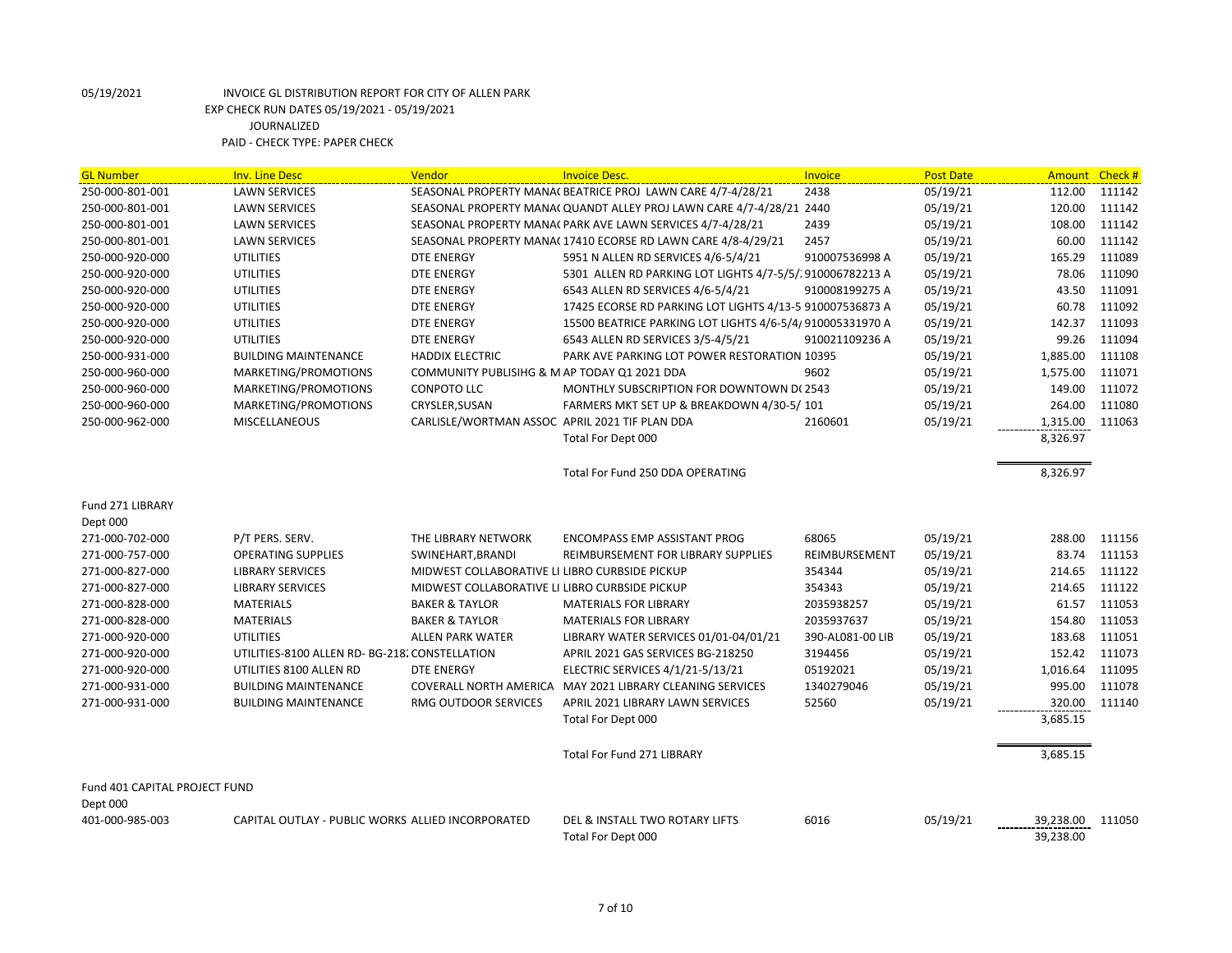| <b>GL Number</b>              | <b>Inv. Line Desc</b>                             | Vendor                                         | <b>Invoice Desc.</b>                                                 | Invoice          | <b>Post Date</b> | Amount Check # |        |
|-------------------------------|---------------------------------------------------|------------------------------------------------|----------------------------------------------------------------------|------------------|------------------|----------------|--------|
| 250-000-801-001               | <b>LAWN SERVICES</b>                              |                                                | SEASONAL PROPERTY MANA( BEATRICE PROJ LAWN CARE 4/7-4/28/21          | 2438             | 05/19/21         | 112.00         | 111142 |
| 250-000-801-001               | <b>LAWN SERVICES</b>                              |                                                | SEASONAL PROPERTY MANA( QUANDT ALLEY PROJ LAWN CARE 4/7-4/28/21 2440 |                  | 05/19/21         | 120.00         | 111142 |
| 250-000-801-001               | <b>LAWN SERVICES</b>                              |                                                | SEASONAL PROPERTY MANA( PARK AVE LAWN SERVICES 4/7-4/28/21           | 2439             | 05/19/21         | 108.00         | 111142 |
| 250-000-801-001               | <b>LAWN SERVICES</b>                              |                                                | SEASONAL PROPERTY MANA(17410 ECORSE RD LAWN CARE 4/8-4/29/21         | 2457             | 05/19/21         | 60.00          | 111142 |
| 250-000-920-000               | <b>UTILITIES</b>                                  | <b>DTE ENERGY</b>                              | 5951 N ALLEN RD SERVICES 4/6-5/4/21                                  | 910007536998 A   | 05/19/21         | 165.29         | 111089 |
| 250-000-920-000               | <b>UTILITIES</b>                                  | <b>DTE ENERGY</b>                              | 5301 ALLEN RD PARKING LOT LIGHTS 4/7-5/5/1910006782213 A             |                  | 05/19/21         | 78.06          | 111090 |
| 250-000-920-000               | <b>UTILITIES</b>                                  | <b>DTE ENERGY</b>                              | 6543 ALLEN RD SERVICES 4/6-5/4/21                                    | 910008199275 A   | 05/19/21         | 43.50          | 111091 |
| 250-000-920-000               | <b>UTILITIES</b>                                  | DTE ENERGY                                     | 17425 ECORSE RD PARKING LOT LIGHTS 4/13-5 910007536873 A             |                  | 05/19/21         | 60.78          | 111092 |
| 250-000-920-000               | <b>UTILITIES</b>                                  | DTE ENERGY                                     | 15500 BEATRICE PARKING LOT LIGHTS 4/6-5/4/910005331970 A             |                  | 05/19/21         | 142.37         | 111093 |
| 250-000-920-000               | <b>UTILITIES</b>                                  | DTE ENERGY                                     | 6543 ALLEN RD SERVICES 3/5-4/5/21                                    | 910021109236 A   | 05/19/21         | 99.26          | 111094 |
| 250-000-931-000               | <b>BUILDING MAINTENANCE</b>                       | <b>HADDIX ELECTRIC</b>                         | PARK AVE PARKING LOT POWER RESTORATION 10395                         |                  | 05/19/21         | 1,885.00       | 111108 |
| 250-000-960-000               | MARKETING/PROMOTIONS                              | COMMUNITY PUBLISIHG & M AP TODAY Q1 2021 DDA   |                                                                      | 9602             | 05/19/21         | 1,575.00       | 111071 |
| 250-000-960-000               | MARKETING/PROMOTIONS                              | <b>CONPOTO LLC</b>                             | MONTHLY SUBSCRIPTION FOR DOWNTOWN D(2543                             |                  | 05/19/21         | 149.00         | 111072 |
| 250-000-960-000               | MARKETING/PROMOTIONS                              | CRYSLER, SUSAN                                 | FARMERS MKT SET UP & BREAKDOWN 4/30-5/101                            |                  | 05/19/21         | 264.00         | 111080 |
| 250-000-962-000               | <b>MISCELLANEOUS</b>                              | CARLISLE/WORTMAN ASSOC APRIL 2021 TIF PLAN DDA |                                                                      | 2160601          | 05/19/21         | 1,315.00       | 111063 |
|                               |                                                   |                                                | Total For Dept 000                                                   |                  |                  | 8,326.97       |        |
|                               |                                                   |                                                |                                                                      |                  |                  |                |        |
|                               |                                                   |                                                | Total For Fund 250 DDA OPERATING                                     |                  |                  | 8,326.97       |        |
|                               |                                                   |                                                |                                                                      |                  |                  |                |        |
| Fund 271 LIBRARY              |                                                   |                                                |                                                                      |                  |                  |                |        |
| Dept 000                      |                                                   |                                                |                                                                      |                  |                  |                |        |
| 271-000-702-000               | P/T PERS. SERV.                                   | THE LIBRARY NETWORK                            | <b>ENCOMPASS EMP ASSISTANT PROG</b>                                  | 68065            | 05/19/21         | 288.00         | 111156 |
| 271-000-757-000               | <b>OPERATING SUPPLIES</b>                         | SWINEHART, BRANDI                              | REIMBURSEMENT FOR LIBRARY SUPPLIES                                   | REIMBURSEMENT    | 05/19/21         | 83.74          | 111153 |
| 271-000-827-000               | <b>LIBRARY SERVICES</b>                           | MIDWEST COLLABORATIVE LI LIBRO CURBSIDE PICKUP |                                                                      | 354344           | 05/19/21         | 214.65         | 111122 |
| 271-000-827-000               | <b>LIBRARY SERVICES</b>                           | MIDWEST COLLABORATIVE LI LIBRO CURBSIDE PICKUP |                                                                      | 354343           | 05/19/21         | 214.65         | 111122 |
| 271-000-828-000               | <b>MATERIALS</b>                                  | <b>BAKER &amp; TAYLOR</b>                      | <b>MATERIALS FOR LIBRARY</b>                                         | 2035938257       | 05/19/21         | 61.57          | 111053 |
| 271-000-828-000               | <b>MATERIALS</b>                                  | <b>BAKER &amp; TAYLOR</b>                      | <b>MATERIALS FOR LIBRARY</b>                                         | 2035937637       | 05/19/21         | 154.80         | 111053 |
| 271-000-920-000               | <b>UTILITIES</b>                                  | <b>ALLEN PARK WATER</b>                        | LIBRARY WATER SERVICES 01/01-04/01/21                                | 390-AL081-00 LIB | 05/19/21         | 183.68         | 111051 |
| 271-000-920-000               | UTILITIES-8100 ALLEN RD- BG-218. CONSTELLATION    |                                                | APRIL 2021 GAS SERVICES BG-218250                                    | 3194456          | 05/19/21         | 152.42         | 111073 |
| 271-000-920-000               | UTILITIES 8100 ALLEN RD                           | <b>DTE ENERGY</b>                              | ELECTRIC SERVICES 4/1/21-5/13/21                                     | 05192021         | 05/19/21         | 1,016.64       | 111095 |
| 271-000-931-000               | <b>BUILDING MAINTENANCE</b>                       |                                                | COVERALL NORTH AMERICA MAY 2021 LIBRARY CLEANING SERVICES            | 1340279046       | 05/19/21         | 995.00         | 111078 |
| 271-000-931-000               | <b>BUILDING MAINTENANCE</b>                       | RMG OUTDOOR SERVICES                           | APRIL 2021 LIBRARY LAWN SERVICES                                     | 52560            | 05/19/21         | 320.00         | 111140 |
|                               |                                                   |                                                | Total For Dept 000                                                   |                  |                  | 3,685.15       |        |
|                               |                                                   |                                                |                                                                      |                  |                  |                |        |
|                               |                                                   |                                                | <b>Total For Fund 271 LIBRARY</b>                                    |                  |                  | 3,685.15       |        |
|                               |                                                   |                                                |                                                                      |                  |                  |                |        |
| Fund 401 CAPITAL PROJECT FUND |                                                   |                                                |                                                                      |                  |                  |                |        |
| Dept 000                      |                                                   |                                                |                                                                      |                  |                  |                |        |
| 401-000-985-003               | CAPITAL OUTLAY - PUBLIC WORKS ALLIED INCORPORATED |                                                | DEL & INSTALL TWO ROTARY LIFTS                                       | 6016             | 05/19/21         | 39,238.00      | 111050 |
|                               |                                                   |                                                | Total For Dept 000                                                   |                  |                  | 39,238.00      |        |
|                               |                                                   |                                                |                                                                      |                  |                  |                |        |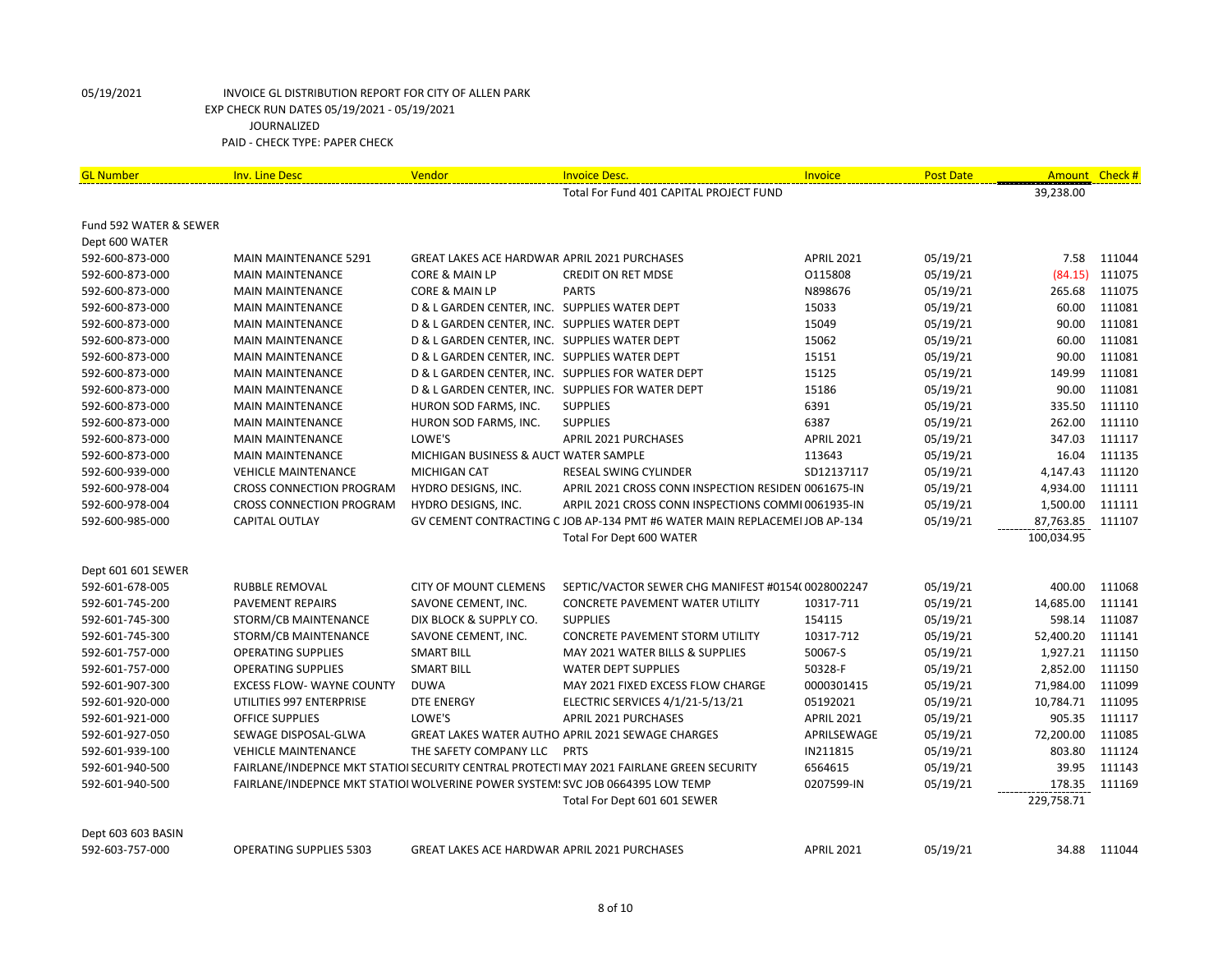| <b>GL Number</b>       | <b>Inv. Line Desc</b>                                                          | Vendor                                              | <b>Invoice Desc.</b>                                                                     | Invoice           | <b>Post Date</b> | Amount     | Check #      |
|------------------------|--------------------------------------------------------------------------------|-----------------------------------------------------|------------------------------------------------------------------------------------------|-------------------|------------------|------------|--------------|
|                        |                                                                                |                                                     | Total For Fund 401 CAPITAL PROJECT FUND                                                  |                   |                  | 39,238.00  |              |
|                        |                                                                                |                                                     |                                                                                          |                   |                  |            |              |
| Fund 592 WATER & SEWER |                                                                                |                                                     |                                                                                          |                   |                  |            |              |
| Dept 600 WATER         |                                                                                |                                                     |                                                                                          |                   |                  |            |              |
| 592-600-873-000        | <b>MAIN MAINTENANCE 5291</b>                                                   | <b>GREAT LAKES ACE HARDWAR APRIL 2021 PURCHASES</b> |                                                                                          | <b>APRIL 2021</b> | 05/19/21         | 7.58       | 111044       |
| 592-600-873-000        | <b>MAIN MAINTENANCE</b>                                                        | <b>CORE &amp; MAIN LP</b>                           | <b>CREDIT ON RET MDSE</b>                                                                | 0115808           | 05/19/21         | (84.15)    | 111075       |
| 592-600-873-000        | <b>MAIN MAINTENANCE</b>                                                        | <b>CORE &amp; MAIN LP</b>                           | <b>PARTS</b>                                                                             | N898676           | 05/19/21         | 265.68     | 111075       |
| 592-600-873-000        | <b>MAIN MAINTENANCE</b>                                                        | D & L GARDEN CENTER, INC. SUPPLIES WATER DEPT       |                                                                                          | 15033             | 05/19/21         | 60.00      | 111081       |
| 592-600-873-000        | <b>MAIN MAINTENANCE</b>                                                        | D & L GARDEN CENTER, INC. SUPPLIES WATER DEPT       |                                                                                          | 15049             | 05/19/21         | 90.00      | 111081       |
| 592-600-873-000        | <b>MAIN MAINTENANCE</b>                                                        | D & L GARDEN CENTER, INC. SUPPLIES WATER DEPT       |                                                                                          | 15062             | 05/19/21         | 60.00      | 111081       |
| 592-600-873-000        | <b>MAIN MAINTENANCE</b>                                                        | D & L GARDEN CENTER, INC. SUPPLIES WATER DEPT       |                                                                                          | 15151             | 05/19/21         | 90.00      | 111081       |
| 592-600-873-000        | <b>MAIN MAINTENANCE</b>                                                        |                                                     | D & L GARDEN CENTER, INC. SUPPLIES FOR WATER DEPT                                        | 15125             | 05/19/21         | 149.99     | 111081       |
| 592-600-873-000        | <b>MAIN MAINTENANCE</b>                                                        |                                                     | D & L GARDEN CENTER, INC. SUPPLIES FOR WATER DEPT                                        | 15186             | 05/19/21         | 90.00      | 111081       |
| 592-600-873-000        | <b>MAIN MAINTENANCE</b>                                                        | HURON SOD FARMS, INC.                               | <b>SUPPLIES</b>                                                                          | 6391              | 05/19/21         | 335.50     | 111110       |
| 592-600-873-000        | <b>MAIN MAINTENANCE</b>                                                        | HURON SOD FARMS, INC.                               | <b>SUPPLIES</b>                                                                          | 6387              | 05/19/21         | 262.00     | 111110       |
| 592-600-873-000        | <b>MAIN MAINTENANCE</b>                                                        | LOWE'S                                              | APRIL 2021 PURCHASES                                                                     | <b>APRIL 2021</b> | 05/19/21         | 347.03     | 111117       |
| 592-600-873-000        | <b>MAIN MAINTENANCE</b>                                                        | MICHIGAN BUSINESS & AUCT WATER SAMPLE               |                                                                                          | 113643            | 05/19/21         | 16.04      | 111135       |
| 592-600-939-000        | <b>VEHICLE MAINTENANCE</b>                                                     | <b>MICHIGAN CAT</b>                                 | RESEAL SWING CYLINDER                                                                    | SD12137117        | 05/19/21         | 4,147.43   | 111120       |
| 592-600-978-004        | <b>CROSS CONNECTION PROGRAM</b>                                                | HYDRO DESIGNS, INC.                                 | APRIL 2021 CROSS CONN INSPECTION RESIDEN 0061675-IN                                      |                   | 05/19/21         | 4,934.00   | 111111       |
| 592-600-978-004        | CROSS CONNECTION PROGRAM                                                       | HYDRO DESIGNS, INC.                                 | ARPIL 2021 CROSS CONN INSPECTIONS COMMI 0061935-IN                                       |                   | 05/19/21         | 1,500.00   | 111111       |
| 592-600-985-000        | CAPITAL OUTLAY                                                                 |                                                     | GV CEMENT CONTRACTING C JOB AP-134 PMT #6 WATER MAIN REPLACEMEI JOB AP-134               |                   | 05/19/21         | 87,763.85  | 111107       |
|                        |                                                                                |                                                     | Total For Dept 600 WATER                                                                 |                   |                  | 100,034.95 |              |
|                        |                                                                                |                                                     |                                                                                          |                   |                  |            |              |
| Dept 601 601 SEWER     |                                                                                |                                                     |                                                                                          |                   |                  |            |              |
| 592-601-678-005        | RUBBLE REMOVAL                                                                 | <b>CITY OF MOUNT CLEMENS</b>                        | SEPTIC/VACTOR SEWER CHG MANIFEST #0154(0028002247                                        |                   | 05/19/21         | 400.00     | 111068       |
| 592-601-745-200        | PAVEMENT REPAIRS                                                               | SAVONE CEMENT, INC.                                 | <b>CONCRETE PAVEMENT WATER UTILITY</b>                                                   | 10317-711         | 05/19/21         | 14,685.00  | 111141       |
| 592-601-745-300        | STORM/CB MAINTENANCE                                                           | DIX BLOCK & SUPPLY CO.                              | <b>SUPPLIES</b>                                                                          | 154115            | 05/19/21         | 598.14     | 111087       |
| 592-601-745-300        | STORM/CB MAINTENANCE                                                           | SAVONE CEMENT, INC.                                 | <b>CONCRETE PAVEMENT STORM UTILITY</b>                                                   | 10317-712         | 05/19/21         | 52,400.20  | 111141       |
| 592-601-757-000        | <b>OPERATING SUPPLIES</b>                                                      | <b>SMART BILL</b>                                   | MAY 2021 WATER BILLS & SUPPLIES                                                          | 50067-S           | 05/19/21         | 1,927.21   | 111150       |
| 592-601-757-000        | <b>OPERATING SUPPLIES</b>                                                      | <b>SMART BILL</b>                                   | <b>WATER DEPT SUPPLIES</b>                                                               | 50328-F           | 05/19/21         | 2,852.00   | 111150       |
| 592-601-907-300        | <b>EXCESS FLOW- WAYNE COUNTY</b>                                               | <b>DUWA</b>                                         | MAY 2021 FIXED EXCESS FLOW CHARGE                                                        | 0000301415        | 05/19/21         | 71,984.00  | 111099       |
| 592-601-920-000        | UTILITIES 997 ENTERPRISE                                                       | <b>DTE ENERGY</b>                                   | ELECTRIC SERVICES 4/1/21-5/13/21                                                         | 05192021          | 05/19/21         | 10,784.71  | 111095       |
| 592-601-921-000        | OFFICE SUPPLIES                                                                | LOWE'S                                              | APRIL 2021 PURCHASES                                                                     | <b>APRIL 2021</b> | 05/19/21         | 905.35     | 111117       |
| 592-601-927-050        | SEWAGE DISPOSAL-GLWA                                                           |                                                     | GREAT LAKES WATER AUTHO APRIL 2021 SEWAGE CHARGES                                        | APRILSEWAGE       | 05/19/21         | 72,200.00  | 111085       |
| 592-601-939-100        | <b>VEHICLE MAINTENANCE</b>                                                     | THE SAFETY COMPANY LLC PRTS                         |                                                                                          | IN211815          | 05/19/21         | 803.80     | 111124       |
| 592-601-940-500        |                                                                                |                                                     | FAIRLANE/INDEPNCE MKT STATIOI SECURITY CENTRAL PROTECTI MAY 2021 FAIRLANE GREEN SECURITY | 6564615           | 05/19/21         | 39.95      | 111143       |
| 592-601-940-500        | FAIRLANE/INDEPNCE MKT STATIOI WOLVERINE POWER SYSTEM! SVC JOB 0664395 LOW TEMP |                                                     |                                                                                          | 0207599-IN        | 05/19/21         | 178.35     | 111169       |
|                        |                                                                                |                                                     | Total For Dept 601 601 SEWER                                                             |                   |                  | 229,758.71 |              |
| Dept 603 603 BASIN     |                                                                                |                                                     |                                                                                          |                   |                  |            |              |
| 592-603-757-000        | <b>OPERATING SUPPLIES 5303</b>                                                 | <b>GREAT LAKES ACE HARDWAR APRIL 2021 PURCHASES</b> |                                                                                          | <b>APRIL 2021</b> | 05/19/21         |            | 34.88 111044 |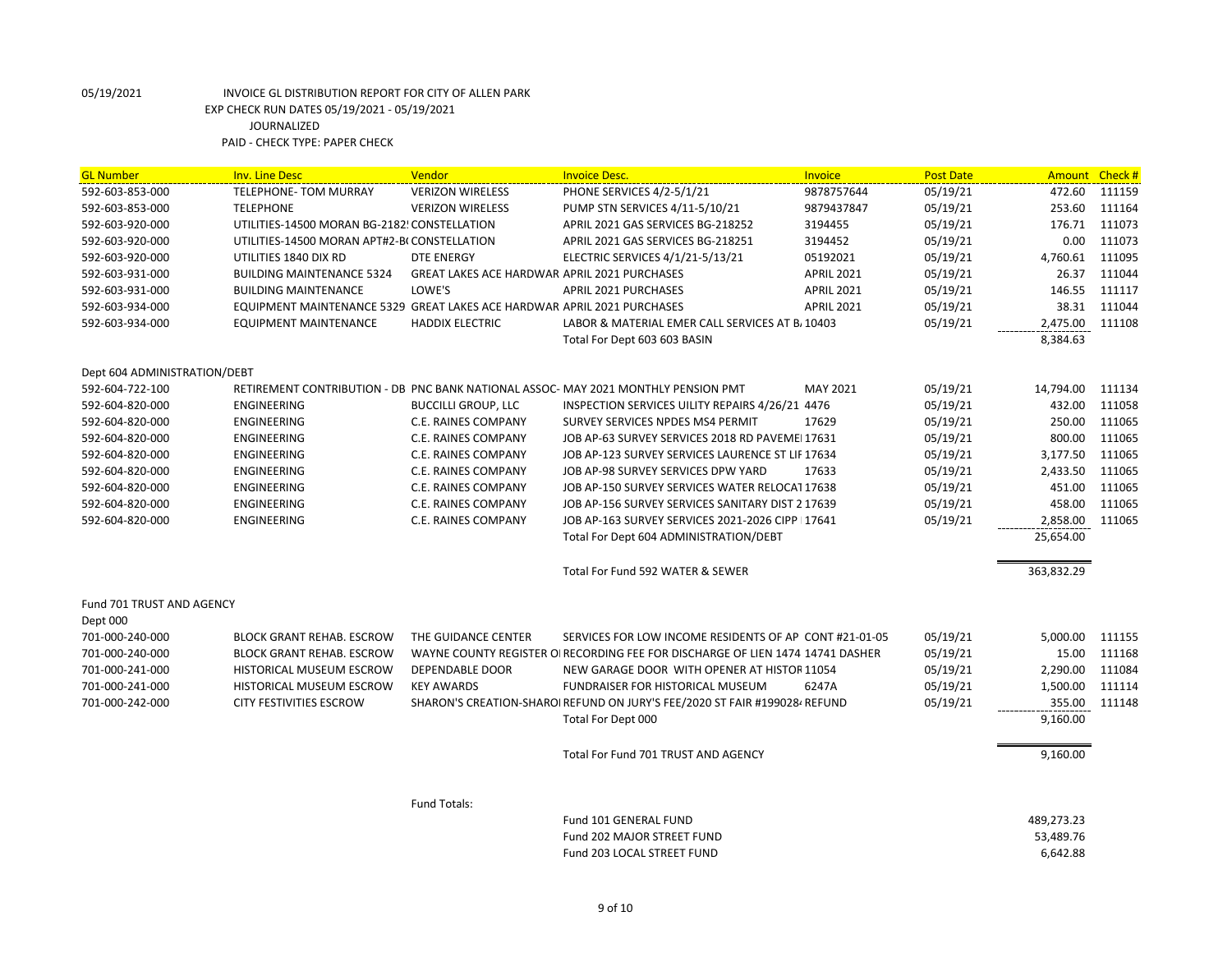| <b>GL Number</b><br><b>Inv. Line Desc</b><br>Vendor<br><b>Invoice Desc.</b><br>Invoice<br><b>Post Date</b>                                           | Amount Check # |        |
|------------------------------------------------------------------------------------------------------------------------------------------------------|----------------|--------|
| 592-603-853-000<br><b>TELEPHONE- TOM MURRAY</b><br><b>VERIZON WIRELESS</b><br>PHONE SERVICES 4/2-5/1/21<br>9878757644<br>05/19/21                    | 472.60         | 111159 |
| 592-603-853-000<br><b>TELEPHONE</b><br><b>VERIZON WIRELESS</b><br>PUMP STN SERVICES 4/11-5/10/21<br>9879437847<br>05/19/21                           | 253.60         | 111164 |
| 592-603-920-000<br>APRIL 2021 GAS SERVICES BG-218252<br>05/19/21<br>UTILITIES-14500 MORAN BG-2182! CONSTELLATION<br>3194455                          | 176.71         | 111073 |
| 592-603-920-000<br>UTILITIES-14500 MORAN APT#2-BI CONSTELLATION<br>APRIL 2021 GAS SERVICES BG-218251<br>3194452<br>05/19/21                          | 0.00           | 111073 |
| 05/19/21<br>592-603-920-000<br>UTILITIES 1840 DIX RD<br><b>DTE ENERGY</b><br>ELECTRIC SERVICES 4/1/21-5/13/21<br>05192021                            | 4,760.61       | 111095 |
| 592-603-931-000<br><b>GREAT LAKES ACE HARDWAR APRIL 2021 PURCHASES</b><br>05/19/21<br><b>BUILDING MAINTENANCE 5324</b><br><b>APRIL 2021</b>          | 26.37          | 111044 |
| <b>BUILDING MAINTENANCE</b><br>LOWE'S<br><b>APRIL 2021 PURCHASES</b><br>05/19/21<br>592-603-931-000<br><b>APRIL 2021</b>                             | 146.55         | 111117 |
| EQUIPMENT MAINTENANCE 5329 GREAT LAKES ACE HARDWAR APRIL 2021 PURCHASES<br>592-603-934-000<br><b>APRIL 2021</b><br>05/19/21                          | 38.31          | 111044 |
| 592-603-934-000<br><b>EQUIPMENT MAINTENANCE</b><br><b>HADDIX ELECTRIC</b><br>LABOR & MATERIAL EMER CALL SERVICES AT B <sub>1</sub> 10403<br>05/19/21 | 2,475.00       | 111108 |
| Total For Dept 603 603 BASIN                                                                                                                         | 8,384.63       |        |
| Dept 604 ADMINISTRATION/DEBT                                                                                                                         |                |        |
| 592-604-722-100<br>RETIREMENT CONTRIBUTION - DB PNC BANK NATIONAL ASSOC-MAY 2021 MONTHLY PENSION PMT<br>MAY 2021<br>05/19/21                         | 14,794.00      | 111134 |
| 05/19/21<br>592-604-820-000<br><b>ENGINEERING</b><br><b>BUCCILLI GROUP, LLC</b><br>INSPECTION SERVICES UILITY REPAIRS 4/26/21 4476                   | 432.00         | 111058 |
| <b>ENGINEERING</b><br>17629<br>05/19/21<br>592-604-820-000<br><b>C.E. RAINES COMPANY</b><br>SURVEY SERVICES NPDES MS4 PERMIT                         | 250.00         | 111065 |
| 05/19/21<br>592-604-820-000<br>ENGINEERING<br>C.E. RAINES COMPANY<br>JOB AP-63 SURVEY SERVICES 2018 RD PAVEMEI 17631                                 | 800.00         | 111065 |
| 592-604-820-000<br>ENGINEERING<br>C.E. RAINES COMPANY<br>JOB AP-123 SURVEY SERVICES LAURENCE ST LIF 17634<br>05/19/21                                | 3,177.50       | 111065 |
| 17633<br>05/19/21<br>592-604-820-000<br><b>ENGINEERING</b><br>C.E. RAINES COMPANY<br>JOB AP-98 SURVEY SERVICES DPW YARD                              | 2,433.50       | 111065 |
| 592-604-820-000<br>C.E. RAINES COMPANY<br>JOB AP-150 SURVEY SERVICES WATER RELOCAT 17638<br>05/19/21<br>ENGINEERING                                  | 451.00         | 111065 |
| 592-604-820-000<br>ENGINEERING<br>C.E. RAINES COMPANY<br>JOB AP-156 SURVEY SERVICES SANITARY DIST 2 17639<br>05/19/21                                | 458.00         | 111065 |
| JOB AP-163 SURVEY SERVICES 2021-2026 CIPP   17641<br>05/19/21<br>592-604-820-000<br>ENGINEERING<br>C.E. RAINES COMPANY                               | 2,858.00       | 111065 |
| Total For Dept 604 ADMINISTRATION/DEBT                                                                                                               | 25,654.00      |        |
| Total For Fund 592 WATER & SEWER                                                                                                                     | 363,832.29     |        |
| Fund 701 TRUST AND AGENCY                                                                                                                            |                |        |
| Dept 000                                                                                                                                             |                |        |
| 701-000-240-000<br>THE GUIDANCE CENTER<br>05/19/21<br><b>BLOCK GRANT REHAB. ESCROW</b><br>SERVICES FOR LOW INCOME RESIDENTS OF AP CONT#21-01-05      | 5,000.00       | 111155 |
| 701-000-240-000<br><b>BLOCK GRANT REHAB. ESCROW</b><br>WAYNE COUNTY REGISTER OF RECORDING FEE FOR DISCHARGE OF LIEN 1474 14741 DASHER<br>05/19/21    | 15.00          | 111168 |
| 701-000-241-000<br><b>HISTORICAL MUSEUM ESCROW</b><br><b>DEPENDABLE DOOR</b><br>NEW GARAGE DOOR WITH OPENER AT HISTOR 11054<br>05/19/21              | 2,290.00       | 111084 |
| 05/19/21<br>701-000-241-000<br>HISTORICAL MUSEUM ESCROW<br><b>KEY AWARDS</b><br>FUNDRAISER FOR HISTORICAL MUSEUM<br>6247A                            | 1,500.00       | 111114 |
| 701-000-242-000<br>CITY FESTIVITIES ESCROW<br>05/19/21<br>SHARON'S CREATION-SHAROI REFUND ON JURY'S FEE/2020 ST FAIR #1990284 REFUND                 | 355.00         | 111148 |
| Total For Dept 000                                                                                                                                   | 9,160.00       |        |
| Total For Fund 701 TRUST AND AGENCY                                                                                                                  | 9,160.00       |        |
| Fund Totals:                                                                                                                                         |                |        |
| Fund 101 GENERAL FUND                                                                                                                                | 489,273.23     |        |
| Fund 202 MAJOR STREET FUND                                                                                                                           | 53,489.76      |        |
| Fund 203 LOCAL STREET FUND                                                                                                                           | 6,642.88       |        |